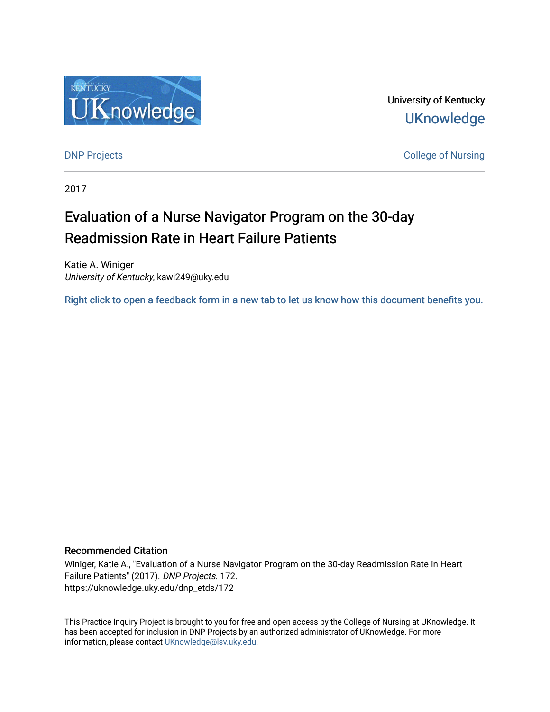

University of Kentucky **UKnowledge** 

[DNP Projects](https://uknowledge.uky.edu/dnp_etds) **College of Nursing** 

2017

# Evaluation of a Nurse Navigator Program on the 30-day Readmission Rate in Heart Failure Patients

Katie A. Winiger University of Kentucky, kawi249@uky.edu

[Right click to open a feedback form in a new tab to let us know how this document benefits you.](https://uky.az1.qualtrics.com/jfe/form/SV_9mq8fx2GnONRfz7)

#### Recommended Citation

Winiger, Katie A., "Evaluation of a Nurse Navigator Program on the 30-day Readmission Rate in Heart Failure Patients" (2017). DNP Projects. 172. https://uknowledge.uky.edu/dnp\_etds/172

This Practice Inquiry Project is brought to you for free and open access by the College of Nursing at UKnowledge. It has been accepted for inclusion in DNP Projects by an authorized administrator of UKnowledge. For more information, please contact [UKnowledge@lsv.uky.edu](mailto:UKnowledge@lsv.uky.edu).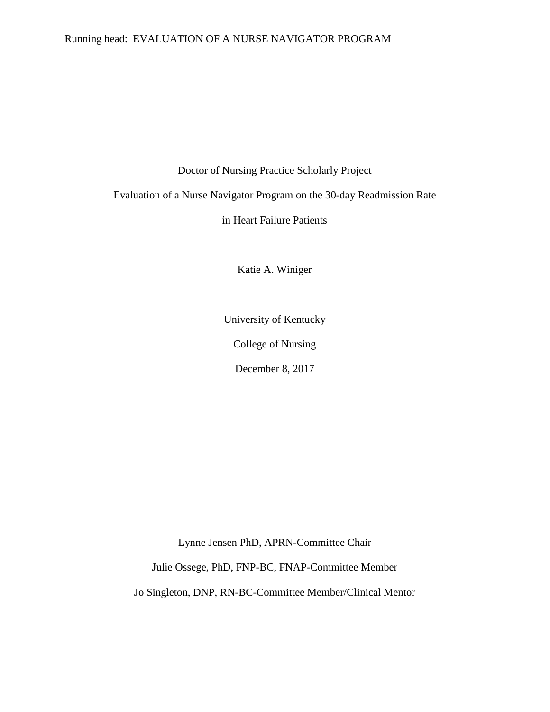#### Running head: EVALUATION OF A NURSE NAVIGATOR PROGRAM

Doctor of Nursing Practice Scholarly Project

Evaluation of a Nurse Navigator Program on the 30-day Readmission Rate

in Heart Failure Patients

Katie A. Winiger

University of Kentucky

College of Nursing

December 8, 2017

Lynne Jensen PhD, APRN-Committee Chair

Julie Ossege, PhD, FNP-BC, FNAP-Committee Member

Jo Singleton, DNP, RN-BC-Committee Member/Clinical Mentor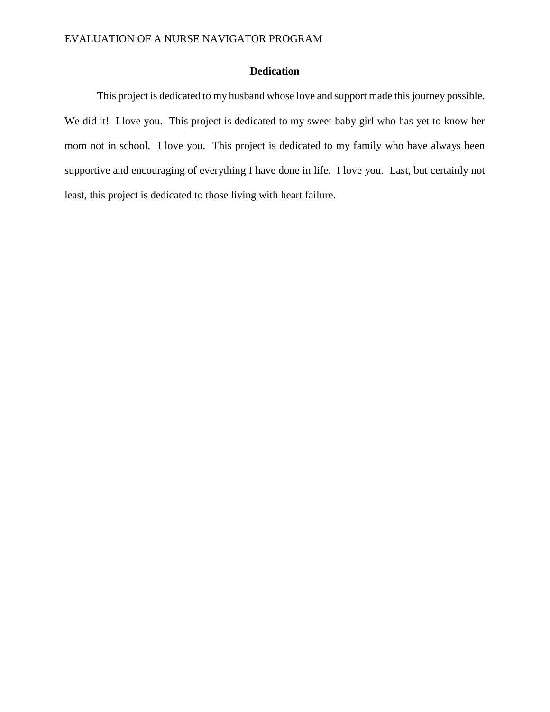### **Dedication**

This project is dedicated to my husband whose love and support made this journey possible. We did it! I love you. This project is dedicated to my sweet baby girl who has yet to know her mom not in school. I love you. This project is dedicated to my family who have always been supportive and encouraging of everything I have done in life. I love you. Last, but certainly not least, this project is dedicated to those living with heart failure.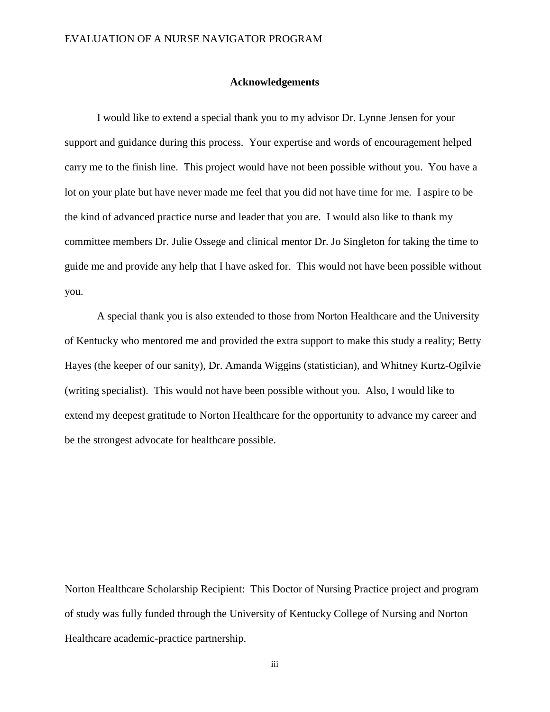#### **Acknowledgements**

I would like to extend a special thank you to my advisor Dr. Lynne Jensen for your support and guidance during this process. Your expertise and words of encouragement helped carry me to the finish line. This project would have not been possible without you. You have a lot on your plate but have never made me feel that you did not have time for me. I aspire to be the kind of advanced practice nurse and leader that you are. I would also like to thank my committee members Dr. Julie Ossege and clinical mentor Dr. Jo Singleton for taking the time to guide me and provide any help that I have asked for. This would not have been possible without you.

A special thank you is also extended to those from Norton Healthcare and the University of Kentucky who mentored me and provided the extra support to make this study a reality; Betty Hayes (the keeper of our sanity), Dr. Amanda Wiggins (statistician), and Whitney Kurtz-Ogilvie (writing specialist). This would not have been possible without you. Also, I would like to extend my deepest gratitude to Norton Healthcare for the opportunity to advance my career and be the strongest advocate for healthcare possible.

Norton Healthcare Scholarship Recipient: This Doctor of Nursing Practice project and program of study was fully funded through the University of Kentucky College of Nursing and Norton Healthcare academic-practice partnership.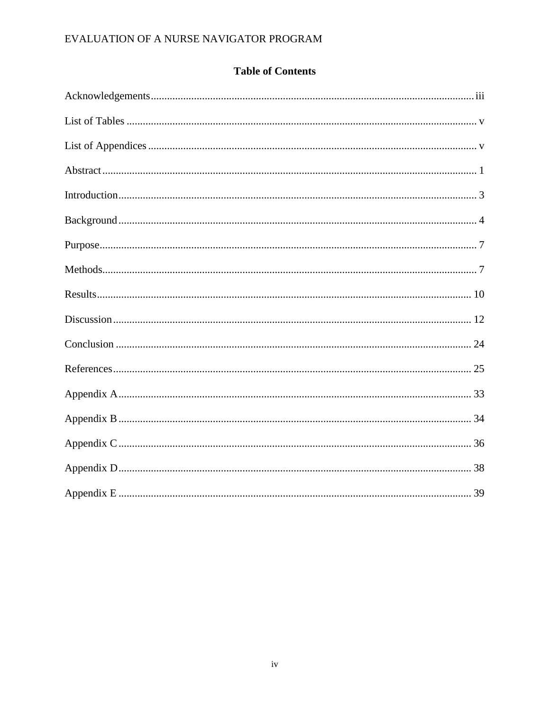# **Table of Contents**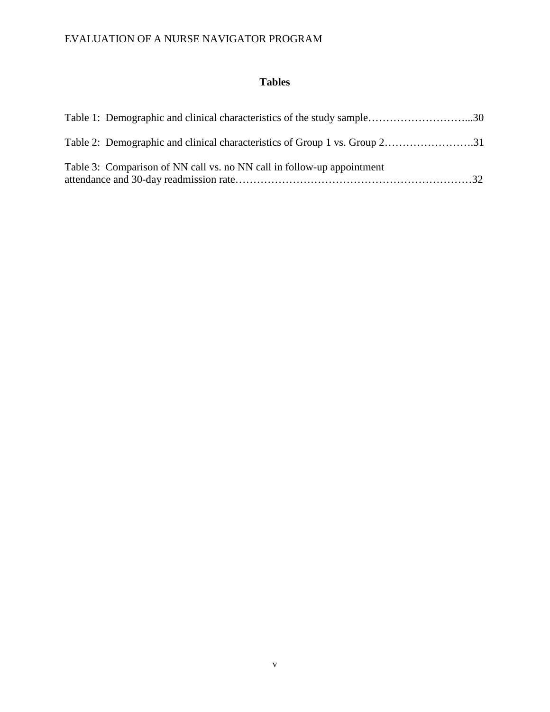### **Tables**

| Table 3: Comparison of NN call vs. no NN call in follow-up appointment |
|------------------------------------------------------------------------|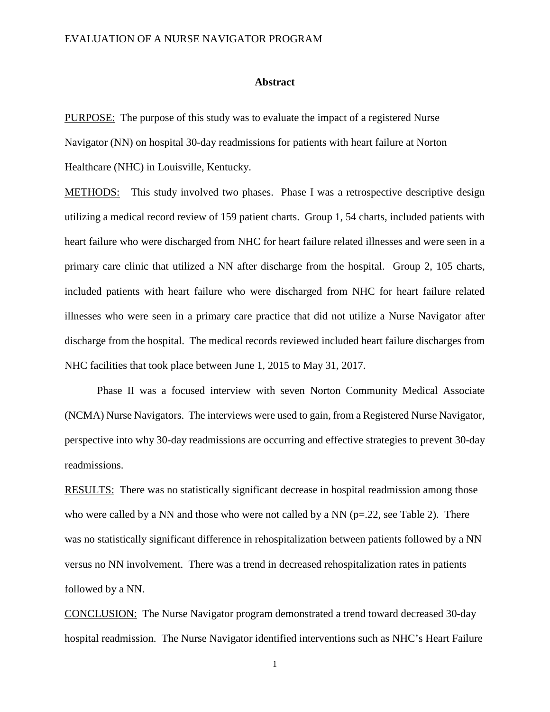#### **Abstract**

PURPOSE: The purpose of this study was to evaluate the impact of a registered Nurse Navigator (NN) on hospital 30-day readmissions for patients with heart failure at Norton

Healthcare (NHC) in Louisville, Kentucky.

METHODS: This study involved two phases. Phase I was a retrospective descriptive design utilizing a medical record review of 159 patient charts. Group 1, 54 charts, included patients with heart failure who were discharged from NHC for heart failure related illnesses and were seen in a primary care clinic that utilized a NN after discharge from the hospital. Group 2, 105 charts, included patients with heart failure who were discharged from NHC for heart failure related illnesses who were seen in a primary care practice that did not utilize a Nurse Navigator after discharge from the hospital. The medical records reviewed included heart failure discharges from NHC facilities that took place between June 1, 2015 to May 31, 2017.

Phase II was a focused interview with seven Norton Community Medical Associate (NCMA) Nurse Navigators. The interviews were used to gain, from a Registered Nurse Navigator, perspective into why 30-day readmissions are occurring and effective strategies to prevent 30-day readmissions.

RESULTS: There was no statistically significant decrease in hospital readmission among those who were called by a NN and those who were not called by a NN ( $p=22$ , see Table 2). There was no statistically significant difference in rehospitalization between patients followed by a NN versus no NN involvement. There was a trend in decreased rehospitalization rates in patients followed by a NN.

CONCLUSION:The Nurse Navigator program demonstrated a trend toward decreased 30-day hospital readmission. The Nurse Navigator identified interventions such as NHC's Heart Failure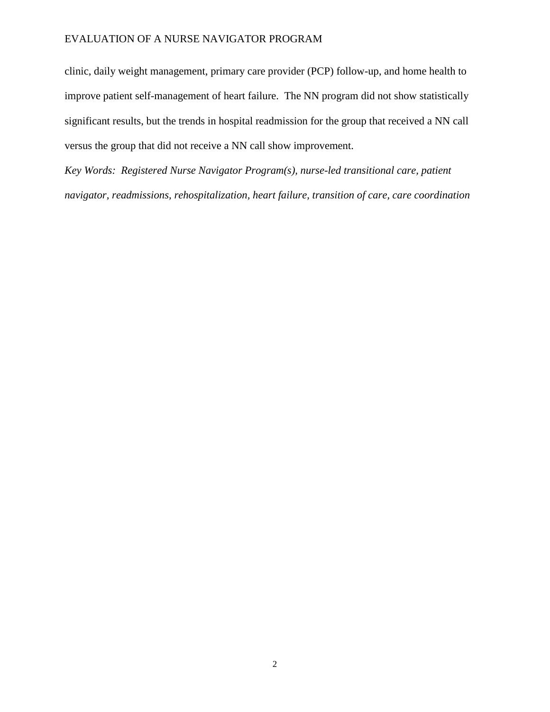clinic, daily weight management, primary care provider (PCP) follow-up, and home health to improve patient self-management of heart failure. The NN program did not show statistically significant results, but the trends in hospital readmission for the group that received a NN call versus the group that did not receive a NN call show improvement.

*Key Words: Registered Nurse Navigator Program(s), nurse-led transitional care, patient navigator, readmissions, rehospitalization, heart failure, transition of care, care coordination*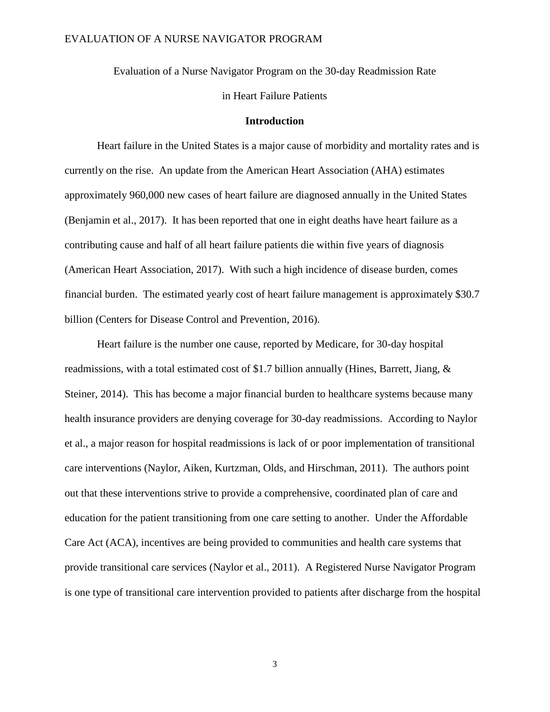Evaluation of a Nurse Navigator Program on the 30-day Readmission Rate

in Heart Failure Patients

#### **Introduction**

Heart failure in the United States is a major cause of morbidity and mortality rates and is currently on the rise. An update from the American Heart Association (AHA) estimates approximately 960,000 new cases of heart failure are diagnosed annually in the United States (Benjamin et al., 2017). It has been reported that one in eight deaths have heart failure as a contributing cause and half of all heart failure patients die within five years of diagnosis (American Heart Association, 2017). With such a high incidence of disease burden, comes financial burden. The estimated yearly cost of heart failure management is approximately \$30.7 billion (Centers for Disease Control and Prevention, 2016).

Heart failure is the number one cause, reported by Medicare, for 30-day hospital readmissions, with a total estimated cost of \$1.7 billion annually (Hines, Barrett, Jiang, & Steiner, 2014). This has become a major financial burden to healthcare systems because many health insurance providers are denying coverage for 30-day readmissions. According to Naylor et al., a major reason for hospital readmissions is lack of or poor implementation of transitional care interventions (Naylor, Aiken, Kurtzman, Olds, and Hirschman, 2011). The authors point out that these interventions strive to provide a comprehensive, coordinated plan of care and education for the patient transitioning from one care setting to another. Under the Affordable Care Act (ACA), incentives are being provided to communities and health care systems that provide transitional care services (Naylor et al., 2011). A Registered Nurse Navigator Program is one type of transitional care intervention provided to patients after discharge from the hospital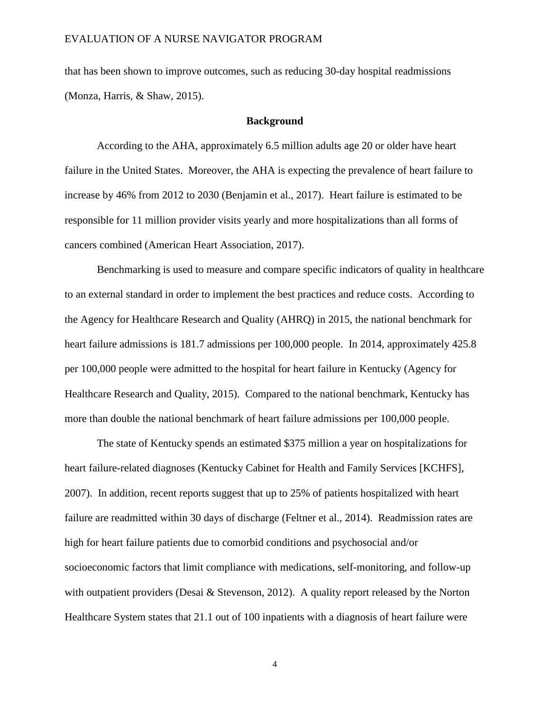that has been shown to improve outcomes, such as reducing 30-day hospital readmissions (Monza, Harris, & Shaw, 2015).

#### **Background**

According to the AHA, approximately 6.5 million adults age 20 or older have heart failure in the United States. Moreover, the AHA is expecting the prevalence of heart failure to increase by 46% from 2012 to 2030 (Benjamin et al., 2017). Heart failure is estimated to be responsible for 11 million provider visits yearly and more hospitalizations than all forms of cancers combined (American Heart Association, 2017).

Benchmarking is used to measure and compare specific indicators of quality in healthcare to an external standard in order to implement the best practices and reduce costs. According to the Agency for Healthcare Research and Quality (AHRQ) in 2015, the national benchmark for heart failure admissions is 181.7 admissions per 100,000 people. In 2014, approximately 425.8 per 100,000 people were admitted to the hospital for heart failure in Kentucky (Agency for Healthcare Research and Quality, 2015). Compared to the national benchmark, Kentucky has more than double the national benchmark of heart failure admissions per 100,000 people.

The state of Kentucky spends an estimated \$375 million a year on hospitalizations for heart failure-related diagnoses (Kentucky Cabinet for Health and Family Services [KCHFS], 2007). In addition, recent reports suggest that up to 25% of patients hospitalized with heart failure are readmitted within 30 days of discharge (Feltner et al., 2014). Readmission rates are high for heart failure patients due to comorbid conditions and psychosocial and/or socioeconomic factors that limit compliance with medications, self-monitoring, and follow-up with outpatient providers (Desai & Stevenson, 2012). A quality report released by the Norton Healthcare System states that 21.1 out of 100 inpatients with a diagnosis of heart failure were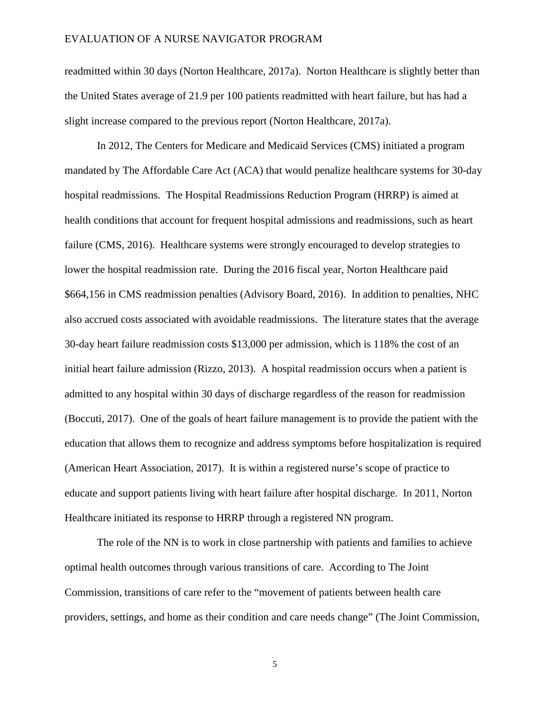readmitted within 30 days (Norton Healthcare, 2017a). Norton Healthcare is slightly better than the United States average of 21.9 per 100 patients readmitted with heart failure, but has had a slight increase compared to the previous report (Norton Healthcare, 2017a).

In 2012, The Centers for Medicare and Medicaid Services (CMS) initiated a program mandated by The Affordable Care Act (ACA) that would penalize healthcare systems for 30-day hospital readmissions. The Hospital Readmissions Reduction Program (HRRP) is aimed at health conditions that account for frequent hospital admissions and readmissions, such as heart failure (CMS, 2016). Healthcare systems were strongly encouraged to develop strategies to lower the hospital readmission rate. During the 2016 fiscal year, Norton Healthcare paid \$664,156 in CMS readmission penalties (Advisory Board, 2016). In addition to penalties, NHC also accrued costs associated with avoidable readmissions. The literature states that the average 30-day heart failure readmission costs \$13,000 per admission, which is 118% the cost of an initial heart failure admission (Rizzo, 2013). A hospital readmission occurs when a patient is admitted to any hospital within 30 days of discharge regardless of the reason for readmission (Boccuti, 2017). One of the goals of heart failure management is to provide the patient with the education that allows them to recognize and address symptoms before hospitalization is required (American Heart Association, 2017). It is within a registered nurse's scope of practice to educate and support patients living with heart failure after hospital discharge. In 2011, Norton Healthcare initiated its response to HRRP through a registered NN program.

The role of the NN is to work in close partnership with patients and families to achieve optimal health outcomes through various transitions of care. According to The Joint Commission, transitions of care refer to the "movement of patients between health care providers, settings, and home as their condition and care needs change" (The Joint Commission,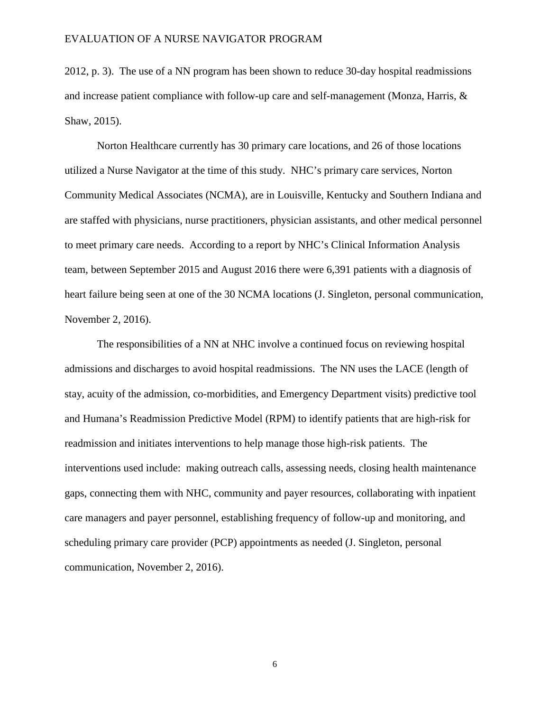2012, p. 3). The use of a NN program has been shown to reduce 30-day hospital readmissions and increase patient compliance with follow-up care and self-management (Monza, Harris, & Shaw, 2015).

Norton Healthcare currently has 30 primary care locations, and 26 of those locations utilized a Nurse Navigator at the time of this study. NHC's primary care services, Norton Community Medical Associates (NCMA), are in Louisville, Kentucky and Southern Indiana and are staffed with physicians, nurse practitioners, physician assistants, and other medical personnel to meet primary care needs. According to a report by NHC's Clinical Information Analysis team, between September 2015 and August 2016 there were 6,391 patients with a diagnosis of heart failure being seen at one of the 30 NCMA locations (J. Singleton, personal communication, November 2, 2016).

The responsibilities of a NN at NHC involve a continued focus on reviewing hospital admissions and discharges to avoid hospital readmissions. The NN uses the LACE (length of stay, acuity of the admission, co-morbidities, and Emergency Department visits) predictive tool and Humana's Readmission Predictive Model (RPM) to identify patients that are high-risk for readmission and initiates interventions to help manage those high-risk patients. The interventions used include: making outreach calls, assessing needs, closing health maintenance gaps, connecting them with NHC, community and payer resources, collaborating with inpatient care managers and payer personnel, establishing frequency of follow-up and monitoring, and scheduling primary care provider (PCP) appointments as needed (J. Singleton, personal communication, November 2, 2016).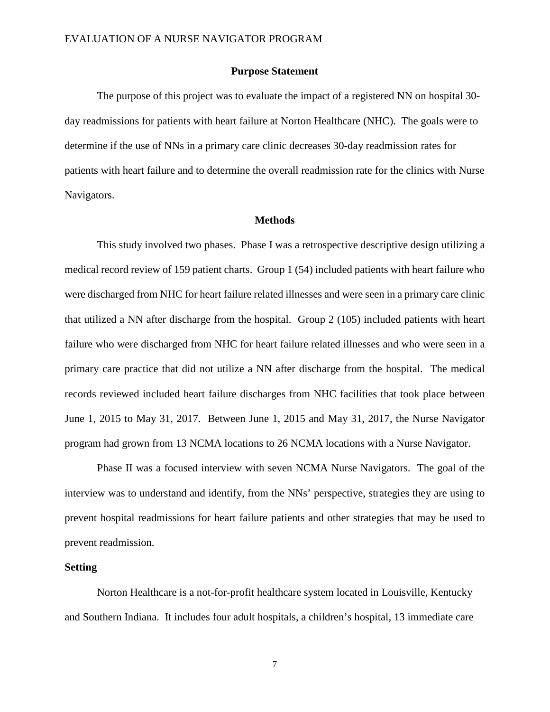#### **Purpose Statement**

The purpose of this project was to evaluate the impact of a registered NN on hospital 30 day readmissions for patients with heart failure at Norton Healthcare (NHC). The goals were to determine if the use of NNs in a primary care clinic decreases 30-day readmission rates for patients with heart failure and to determine the overall readmission rate for the clinics with Nurse Navigators.

#### **Methods**

This study involved two phases. Phase I was a retrospective descriptive design utilizing a medical record review of 159 patient charts. Group 1 (54) included patients with heart failure who were discharged from NHC for heart failure related illnesses and were seen in a primary care clinic that utilized a NN after discharge from the hospital. Group 2 (105) included patients with heart failure who were discharged from NHC for heart failure related illnesses and who were seen in a primary care practice that did not utilize a NN after discharge from the hospital. The medical records reviewed included heart failure discharges from NHC facilities that took place between June 1, 2015 to May 31, 2017. Between June 1, 2015 and May 31, 2017, the Nurse Navigator program had grown from 13 NCMA locations to 26 NCMA locations with a Nurse Navigator.

Phase II was a focused interview with seven NCMA Nurse Navigators. The goal of the interview was to understand and identify, from the NNs' perspective, strategies they are using to prevent hospital readmissions for heart failure patients and other strategies that may be used to prevent readmission.

#### **Setting**

Norton Healthcare is a not-for-profit healthcare system located in Louisville, Kentucky and Southern Indiana. It includes four adult hospitals, a children's hospital, 13 immediate care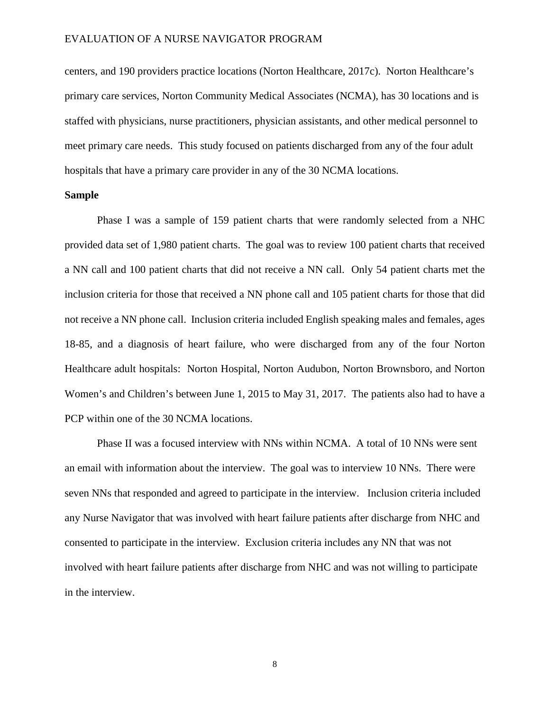centers, and 190 providers practice locations (Norton Healthcare, 2017c). Norton Healthcare's primary care services, Norton Community Medical Associates (NCMA), has 30 locations and is staffed with physicians, nurse practitioners, physician assistants, and other medical personnel to meet primary care needs. This study focused on patients discharged from any of the four adult hospitals that have a primary care provider in any of the 30 NCMA locations.

#### **Sample**

Phase I was a sample of 159 patient charts that were randomly selected from a NHC provided data set of 1,980 patient charts. The goal was to review 100 patient charts that received a NN call and 100 patient charts that did not receive a NN call. Only 54 patient charts met the inclusion criteria for those that received a NN phone call and 105 patient charts for those that did not receive a NN phone call. Inclusion criteria included English speaking males and females, ages 18-85, and a diagnosis of heart failure, who were discharged from any of the four Norton Healthcare adult hospitals: Norton Hospital, Norton Audubon, Norton Brownsboro, and Norton Women's and Children's between June 1, 2015 to May 31, 2017. The patients also had to have a PCP within one of the 30 NCMA locations.

Phase II was a focused interview with NNs within NCMA. A total of 10 NNs were sent an email with information about the interview. The goal was to interview 10 NNs. There were seven NNs that responded and agreed to participate in the interview. Inclusion criteria included any Nurse Navigator that was involved with heart failure patients after discharge from NHC and consented to participate in the interview. Exclusion criteria includes any NN that was not involved with heart failure patients after discharge from NHC and was not willing to participate in the interview.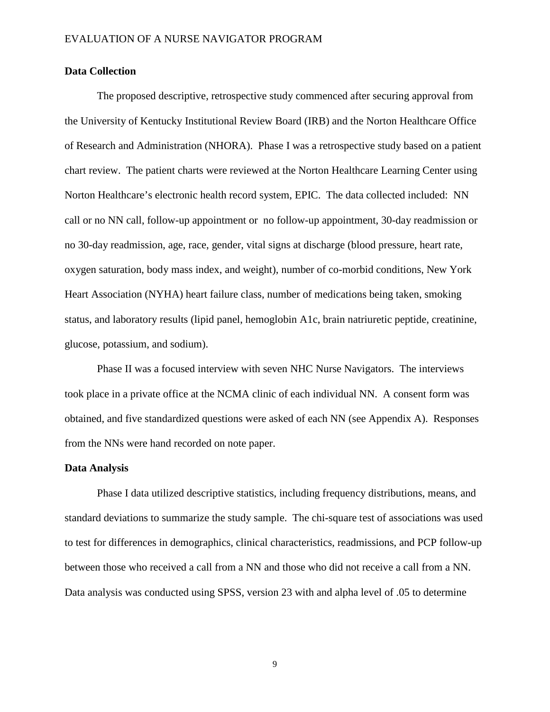#### **Data Collection**

The proposed descriptive, retrospective study commenced after securing approval from the University of Kentucky Institutional Review Board (IRB) and the Norton Healthcare Office of Research and Administration (NHORA). Phase I was a retrospective study based on a patient chart review. The patient charts were reviewed at the Norton Healthcare Learning Center using Norton Healthcare's electronic health record system, EPIC. The data collected included: NN call or no NN call, follow-up appointment or no follow-up appointment, 30-day readmission or no 30-day readmission, age, race, gender, vital signs at discharge (blood pressure, heart rate, oxygen saturation, body mass index, and weight), number of co-morbid conditions, New York Heart Association (NYHA) heart failure class, number of medications being taken, smoking status, and laboratory results (lipid panel, hemoglobin A1c, brain natriuretic peptide, creatinine, glucose, potassium, and sodium).

Phase II was a focused interview with seven NHC Nurse Navigators. The interviews took place in a private office at the NCMA clinic of each individual NN. A consent form was obtained, and five standardized questions were asked of each NN (see Appendix A). Responses from the NNs were hand recorded on note paper.

#### **Data Analysis**

Phase I data utilized descriptive statistics, including frequency distributions, means, and standard deviations to summarize the study sample. The chi-square test of associations was used to test for differences in demographics, clinical characteristics, readmissions, and PCP follow-up between those who received a call from a NN and those who did not receive a call from a NN. Data analysis was conducted using SPSS, version 23 with and alpha level of .05 to determine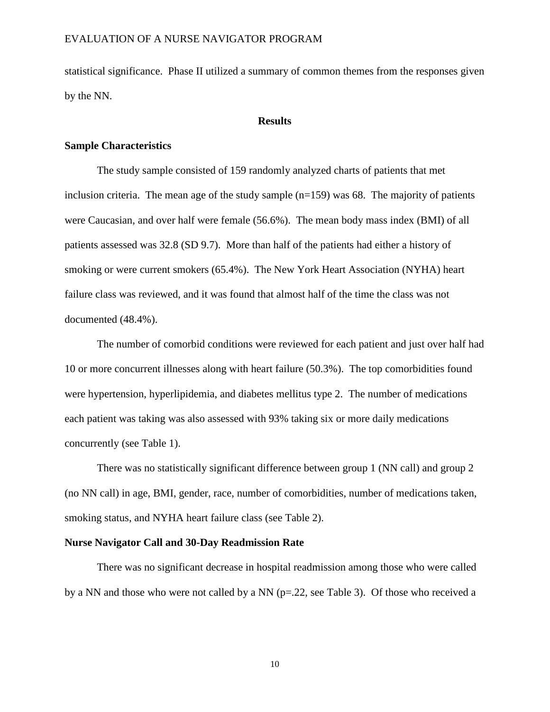statistical significance. Phase II utilized a summary of common themes from the responses given by the NN.

#### **Results**

#### **Sample Characteristics**

The study sample consisted of 159 randomly analyzed charts of patients that met inclusion criteria. The mean age of the study sample  $(n=159)$  was 68. The majority of patients were Caucasian, and over half were female (56.6%). The mean body mass index (BMI) of all patients assessed was 32.8 (SD 9.7). More than half of the patients had either a history of smoking or were current smokers (65.4%). The New York Heart Association (NYHA) heart failure class was reviewed, and it was found that almost half of the time the class was not documented (48.4%).

The number of comorbid conditions were reviewed for each patient and just over half had 10 or more concurrent illnesses along with heart failure (50.3%). The top comorbidities found were hypertension, hyperlipidemia, and diabetes mellitus type 2. The number of medications each patient was taking was also assessed with 93% taking six or more daily medications concurrently (see Table 1).

There was no statistically significant difference between group 1 (NN call) and group 2 (no NN call) in age, BMI, gender, race, number of comorbidities, number of medications taken, smoking status, and NYHA heart failure class (see Table 2).

#### **Nurse Navigator Call and 30-Day Readmission Rate**

There was no significant decrease in hospital readmission among those who were called by a NN and those who were not called by a NN (p=.22, see Table 3). Of those who received a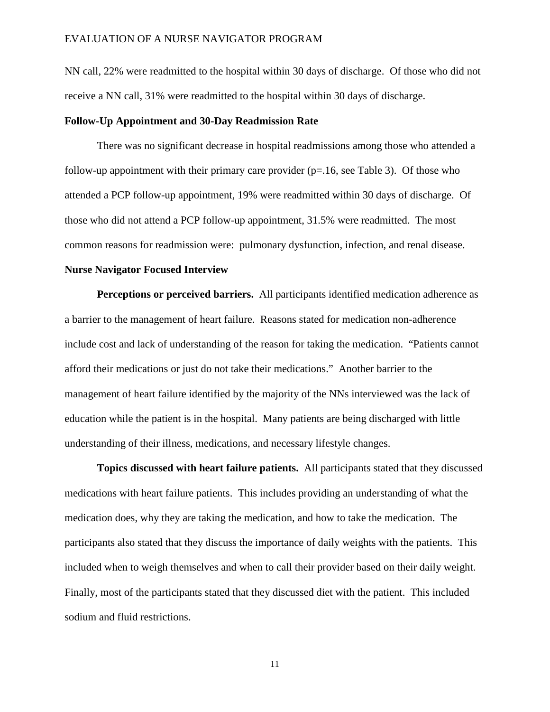NN call, 22% were readmitted to the hospital within 30 days of discharge. Of those who did not receive a NN call, 31% were readmitted to the hospital within 30 days of discharge.

#### **Follow-Up Appointment and 30-Day Readmission Rate**

There was no significant decrease in hospital readmissions among those who attended a follow-up appointment with their primary care provider  $(p=1.16,$  see Table 3). Of those who attended a PCP follow-up appointment, 19% were readmitted within 30 days of discharge. Of those who did not attend a PCP follow-up appointment, 31.5% were readmitted. The most common reasons for readmission were: pulmonary dysfunction, infection, and renal disease.

#### **Nurse Navigator Focused Interview**

**Perceptions or perceived barriers.** All participants identified medication adherence as a barrier to the management of heart failure. Reasons stated for medication non-adherence include cost and lack of understanding of the reason for taking the medication. "Patients cannot afford their medications or just do not take their medications." Another barrier to the management of heart failure identified by the majority of the NNs interviewed was the lack of education while the patient is in the hospital. Many patients are being discharged with little understanding of their illness, medications, and necessary lifestyle changes.

**Topics discussed with heart failure patients.** All participants stated that they discussed medications with heart failure patients. This includes providing an understanding of what the medication does, why they are taking the medication, and how to take the medication. The participants also stated that they discuss the importance of daily weights with the patients. This included when to weigh themselves and when to call their provider based on their daily weight. Finally, most of the participants stated that they discussed diet with the patient. This included sodium and fluid restrictions.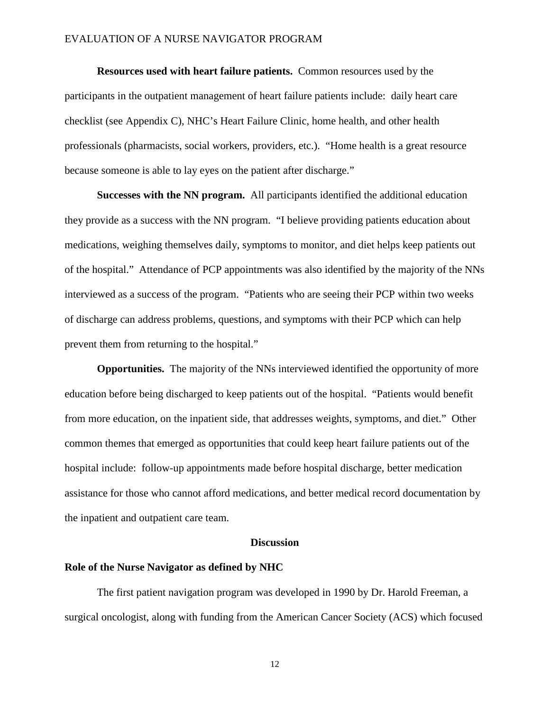**Resources used with heart failure patients.** Common resources used by the participants in the outpatient management of heart failure patients include: daily heart care checklist (see Appendix C), NHC's Heart Failure Clinic, home health, and other health professionals (pharmacists, social workers, providers, etc.). "Home health is a great resource because someone is able to lay eyes on the patient after discharge."

**Successes with the NN program.** All participants identified the additional education they provide as a success with the NN program. "I believe providing patients education about medications, weighing themselves daily, symptoms to monitor, and diet helps keep patients out of the hospital." Attendance of PCP appointments was also identified by the majority of the NNs interviewed as a success of the program. "Patients who are seeing their PCP within two weeks of discharge can address problems, questions, and symptoms with their PCP which can help prevent them from returning to the hospital."

**Opportunities.** The majority of the NNs interviewed identified the opportunity of more education before being discharged to keep patients out of the hospital. "Patients would benefit from more education, on the inpatient side, that addresses weights, symptoms, and diet." Other common themes that emerged as opportunities that could keep heart failure patients out of the hospital include: follow-up appointments made before hospital discharge, better medication assistance for those who cannot afford medications, and better medical record documentation by the inpatient and outpatient care team.

#### **Discussion**

#### **Role of the Nurse Navigator as defined by NHC**

The first patient navigation program was developed in 1990 by Dr. Harold Freeman, a surgical oncologist, along with funding from the American Cancer Society (ACS) which focused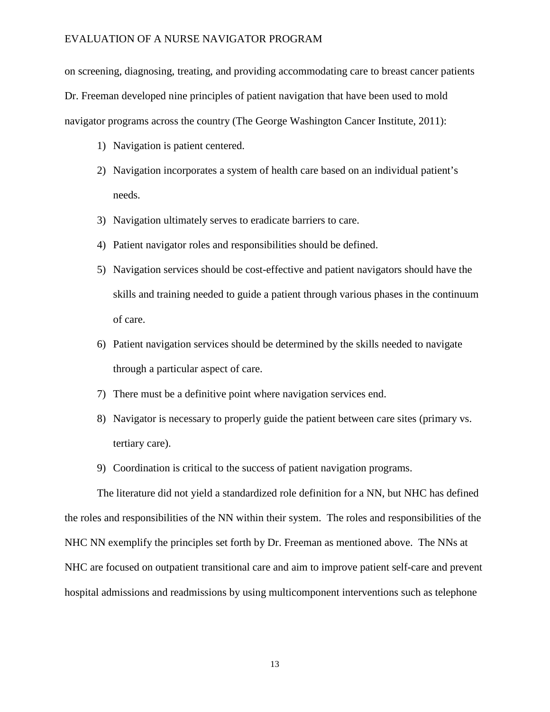on screening, diagnosing, treating, and providing accommodating care to breast cancer patients Dr. Freeman developed nine principles of patient navigation that have been used to mold navigator programs across the country (The George Washington Cancer Institute, 2011):

- 1) Navigation is patient centered.
- 2) Navigation incorporates a system of health care based on an individual patient's needs.
- 3) Navigation ultimately serves to eradicate barriers to care.
- 4) Patient navigator roles and responsibilities should be defined.
- 5) Navigation services should be cost-effective and patient navigators should have the skills and training needed to guide a patient through various phases in the continuum of care.
- 6) Patient navigation services should be determined by the skills needed to navigate through a particular aspect of care.
- 7) There must be a definitive point where navigation services end.
- 8) Navigator is necessary to properly guide the patient between care sites (primary vs. tertiary care).
- 9) Coordination is critical to the success of patient navigation programs.

The literature did not yield a standardized role definition for a NN, but NHC has defined the roles and responsibilities of the NN within their system. The roles and responsibilities of the NHC NN exemplify the principles set forth by Dr. Freeman as mentioned above. The NNs at NHC are focused on outpatient transitional care and aim to improve patient self-care and prevent hospital admissions and readmissions by using multicomponent interventions such as telephone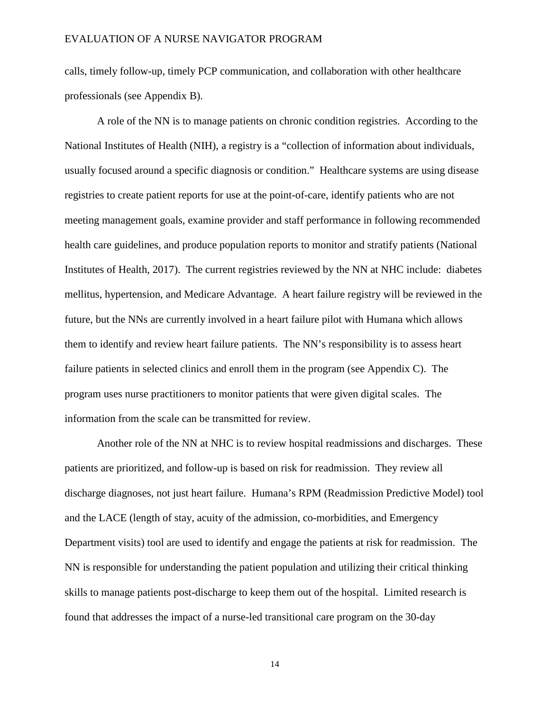calls, timely follow-up, timely PCP communication, and collaboration with other healthcare professionals (see Appendix B).

A role of the NN is to manage patients on chronic condition registries. According to the National Institutes of Health (NIH), a registry is a "collection of information about individuals, usually focused around a specific diagnosis or condition." Healthcare systems are using disease registries to create patient reports for use at the point-of-care, identify patients who are not meeting management goals, examine provider and staff performance in following recommended health care guidelines, and produce population reports to monitor and stratify patients (National Institutes of Health, 2017). The current registries reviewed by the NN at NHC include: diabetes mellitus, hypertension, and Medicare Advantage. A heart failure registry will be reviewed in the future, but the NNs are currently involved in a heart failure pilot with Humana which allows them to identify and review heart failure patients. The NN's responsibility is to assess heart failure patients in selected clinics and enroll them in the program (see Appendix C). The program uses nurse practitioners to monitor patients that were given digital scales. The information from the scale can be transmitted for review.

Another role of the NN at NHC is to review hospital readmissions and discharges. These patients are prioritized, and follow-up is based on risk for readmission. They review all discharge diagnoses, not just heart failure. Humana's RPM (Readmission Predictive Model) tool and the LACE (length of stay, acuity of the admission, co-morbidities, and Emergency Department visits) tool are used to identify and engage the patients at risk for readmission. The NN is responsible for understanding the patient population and utilizing their critical thinking skills to manage patients post-discharge to keep them out of the hospital. Limited research is found that addresses the impact of a nurse-led transitional care program on the 30-day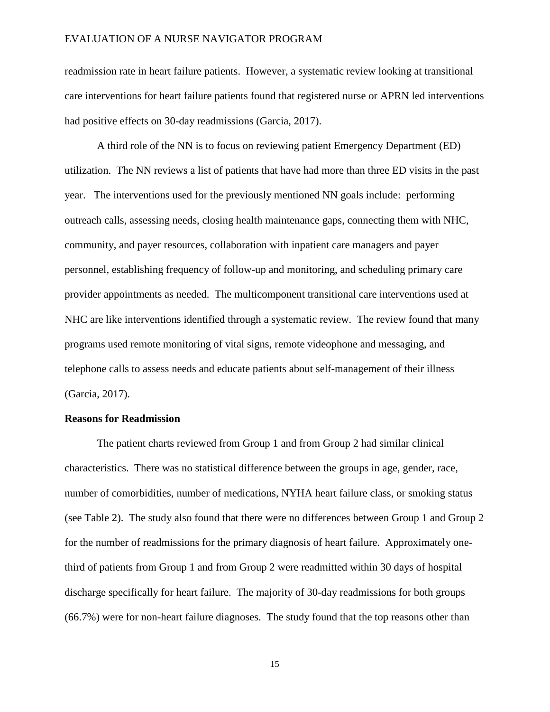readmission rate in heart failure patients. However, a systematic review looking at transitional care interventions for heart failure patients found that registered nurse or APRN led interventions had positive effects on 30-day readmissions (Garcia, 2017).

A third role of the NN is to focus on reviewing patient Emergency Department (ED) utilization. The NN reviews a list of patients that have had more than three ED visits in the past year. The interventions used for the previously mentioned NN goals include: performing outreach calls, assessing needs, closing health maintenance gaps, connecting them with NHC, community, and payer resources, collaboration with inpatient care managers and payer personnel, establishing frequency of follow-up and monitoring, and scheduling primary care provider appointments as needed. The multicomponent transitional care interventions used at NHC are like interventions identified through a systematic review. The review found that many programs used remote monitoring of vital signs, remote videophone and messaging, and telephone calls to assess needs and educate patients about self-management of their illness (Garcia, 2017).

#### **Reasons for Readmission**

The patient charts reviewed from Group 1 and from Group 2 had similar clinical characteristics. There was no statistical difference between the groups in age, gender, race, number of comorbidities, number of medications, NYHA heart failure class, or smoking status (see Table 2). The study also found that there were no differences between Group 1 and Group 2 for the number of readmissions for the primary diagnosis of heart failure. Approximately onethird of patients from Group 1 and from Group 2 were readmitted within 30 days of hospital discharge specifically for heart failure. The majority of 30-day readmissions for both groups (66.7%) were for non-heart failure diagnoses. The study found that the top reasons other than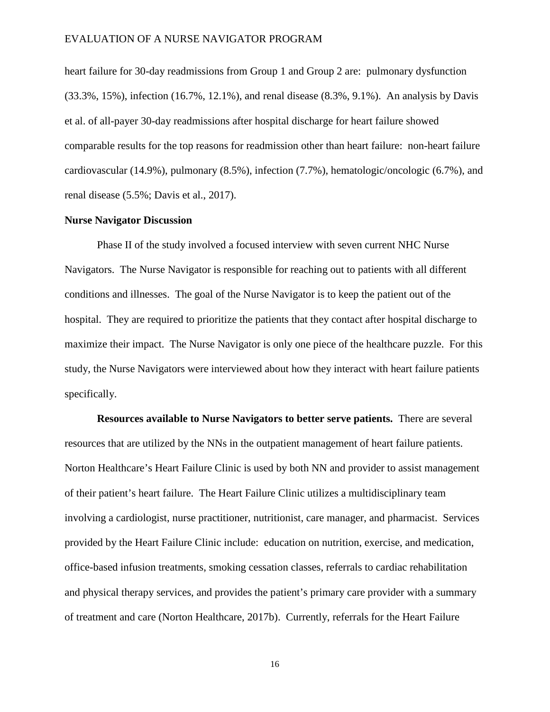heart failure for 30-day readmissions from Group 1 and Group 2 are: pulmonary dysfunction (33.3%, 15%), infection (16.7%, 12.1%), and renal disease (8.3%, 9.1%). An analysis by Davis et al. of all-payer 30-day readmissions after hospital discharge for heart failure showed comparable results for the top reasons for readmission other than heart failure: non-heart failure cardiovascular (14.9%), pulmonary (8.5%), infection (7.7%), hematologic/oncologic (6.7%), and renal disease (5.5%; Davis et al., 2017).

#### **Nurse Navigator Discussion**

Phase II of the study involved a focused interview with seven current NHC Nurse Navigators. The Nurse Navigator is responsible for reaching out to patients with all different conditions and illnesses. The goal of the Nurse Navigator is to keep the patient out of the hospital. They are required to prioritize the patients that they contact after hospital discharge to maximize their impact. The Nurse Navigator is only one piece of the healthcare puzzle. For this study, the Nurse Navigators were interviewed about how they interact with heart failure patients specifically.

**Resources available to Nurse Navigators to better serve patients.** There are several resources that are utilized by the NNs in the outpatient management of heart failure patients. Norton Healthcare's Heart Failure Clinic is used by both NN and provider to assist management of their patient's heart failure. The Heart Failure Clinic utilizes a multidisciplinary team involving a cardiologist, nurse practitioner, nutritionist, care manager, and pharmacist. Services provided by the Heart Failure Clinic include: education on nutrition, exercise, and medication, office-based infusion treatments, smoking cessation classes, referrals to cardiac rehabilitation and physical therapy services, and provides the patient's primary care provider with a summary of treatment and care (Norton Healthcare, 2017b). Currently, referrals for the Heart Failure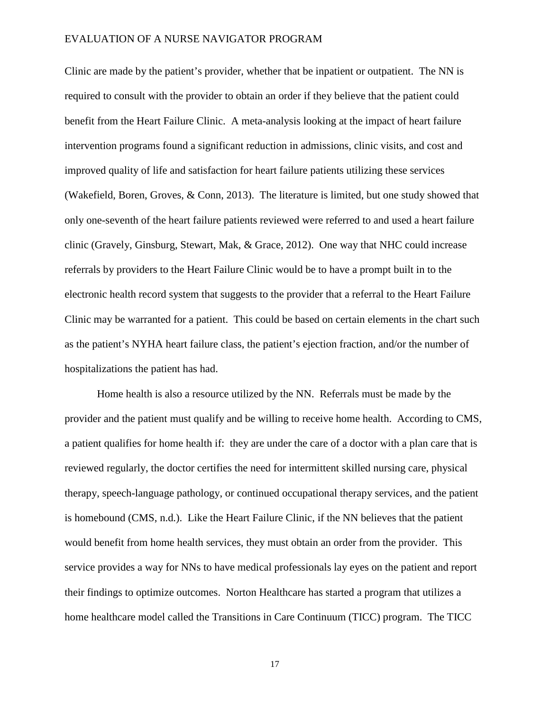Clinic are made by the patient's provider, whether that be inpatient or outpatient. The NN is required to consult with the provider to obtain an order if they believe that the patient could benefit from the Heart Failure Clinic. A meta-analysis looking at the impact of heart failure intervention programs found a significant reduction in admissions, clinic visits, and cost and improved quality of life and satisfaction for heart failure patients utilizing these services (Wakefield, Boren, Groves, & Conn, 2013). The literature is limited, but one study showed that only one-seventh of the heart failure patients reviewed were referred to and used a heart failure clinic (Gravely, Ginsburg, Stewart, Mak, & Grace, 2012). One way that NHC could increase referrals by providers to the Heart Failure Clinic would be to have a prompt built in to the electronic health record system that suggests to the provider that a referral to the Heart Failure Clinic may be warranted for a patient. This could be based on certain elements in the chart such as the patient's NYHA heart failure class, the patient's ejection fraction, and/or the number of hospitalizations the patient has had.

Home health is also a resource utilized by the NN. Referrals must be made by the provider and the patient must qualify and be willing to receive home health. According to CMS, a patient qualifies for home health if: they are under the care of a doctor with a plan care that is reviewed regularly, the doctor certifies the need for intermittent skilled nursing care, physical therapy, speech-language pathology, or continued occupational therapy services, and the patient is homebound (CMS, n.d.). Like the Heart Failure Clinic, if the NN believes that the patient would benefit from home health services, they must obtain an order from the provider. This service provides a way for NNs to have medical professionals lay eyes on the patient and report their findings to optimize outcomes. Norton Healthcare has started a program that utilizes a home healthcare model called the Transitions in Care Continuum (TICC) program. The TICC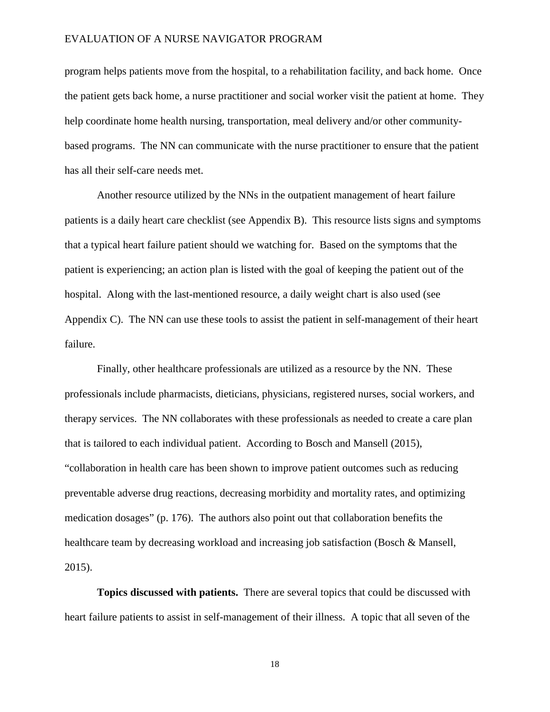program helps patients move from the hospital, to a rehabilitation facility, and back home. Once the patient gets back home, a nurse practitioner and social worker visit the patient at home. They help coordinate home health nursing, transportation, meal delivery and/or other communitybased programs. The NN can communicate with the nurse practitioner to ensure that the patient has all their self-care needs met.

Another resource utilized by the NNs in the outpatient management of heart failure patients is a daily heart care checklist (see Appendix B). This resource lists signs and symptoms that a typical heart failure patient should we watching for. Based on the symptoms that the patient is experiencing; an action plan is listed with the goal of keeping the patient out of the hospital. Along with the last-mentioned resource, a daily weight chart is also used (see Appendix C). The NN can use these tools to assist the patient in self-management of their heart failure.

Finally, other healthcare professionals are utilized as a resource by the NN. These professionals include pharmacists, dieticians, physicians, registered nurses, social workers, and therapy services. The NN collaborates with these professionals as needed to create a care plan that is tailored to each individual patient. According to Bosch and Mansell (2015), "collaboration in health care has been shown to improve patient outcomes such as reducing preventable adverse drug reactions, decreasing morbidity and mortality rates, and optimizing medication dosages" (p. 176). The authors also point out that collaboration benefits the healthcare team by decreasing workload and increasing job satisfaction (Bosch & Mansell, 2015).

**Topics discussed with patients.** There are several topics that could be discussed with heart failure patients to assist in self-management of their illness. A topic that all seven of the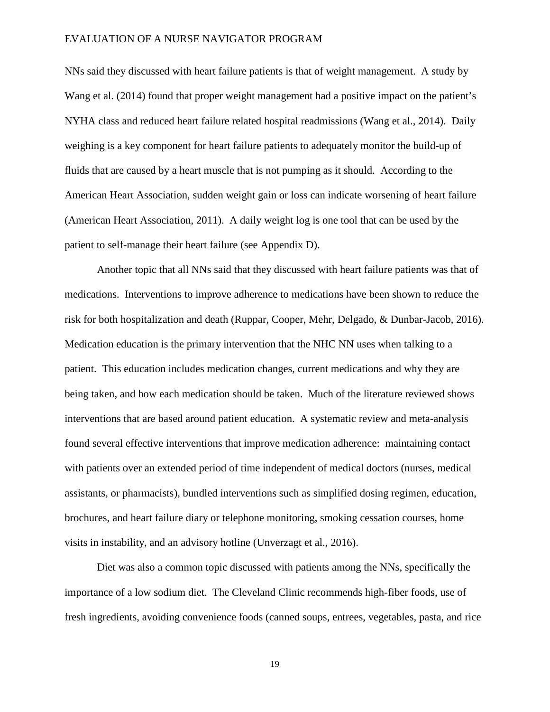NNs said they discussed with heart failure patients is that of weight management. A study by Wang et al. (2014) found that proper weight management had a positive impact on the patient's NYHA class and reduced heart failure related hospital readmissions (Wang et al., 2014). Daily weighing is a key component for heart failure patients to adequately monitor the build-up of fluids that are caused by a heart muscle that is not pumping as it should. According to the American Heart Association, sudden weight gain or loss can indicate worsening of heart failure (American Heart Association, 2011). A daily weight log is one tool that can be used by the patient to self-manage their heart failure (see Appendix D).

Another topic that all NNs said that they discussed with heart failure patients was that of medications. Interventions to improve adherence to medications have been shown to reduce the risk for both hospitalization and death (Ruppar, Cooper, Mehr, Delgado, & Dunbar-Jacob, 2016). Medication education is the primary intervention that the NHC NN uses when talking to a patient. This education includes medication changes, current medications and why they are being taken, and how each medication should be taken. Much of the literature reviewed shows interventions that are based around patient education. A systematic review and meta-analysis found several effective interventions that improve medication adherence: maintaining contact with patients over an extended period of time independent of medical doctors (nurses, medical assistants, or pharmacists), bundled interventions such as simplified dosing regimen, education, brochures, and heart failure diary or telephone monitoring, smoking cessation courses, home visits in instability, and an advisory hotline (Unverzagt et al., 2016).

Diet was also a common topic discussed with patients among the NNs, specifically the importance of a low sodium diet. The Cleveland Clinic recommends high-fiber foods, use of fresh ingredients, avoiding convenience foods (canned soups, entrees, vegetables, pasta, and rice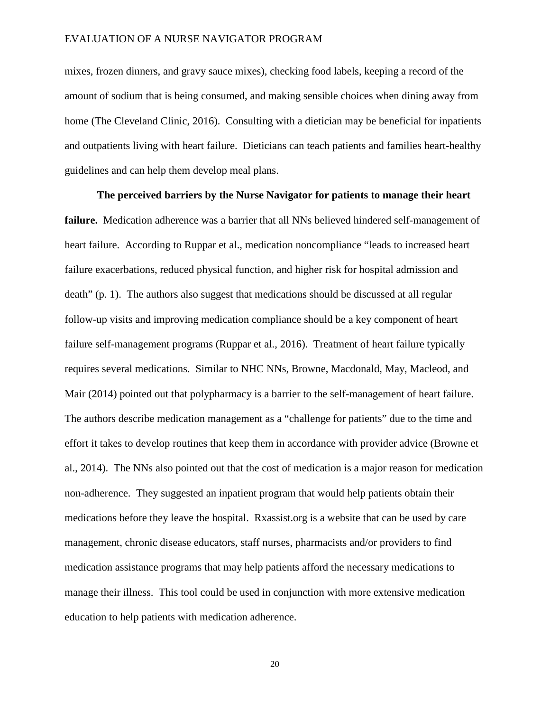mixes, frozen dinners, and gravy sauce mixes), checking food labels, keeping a record of the amount of sodium that is being consumed, and making sensible choices when dining away from home (The Cleveland Clinic, 2016). Consulting with a dietician may be beneficial for inpatients and outpatients living with heart failure. Dieticians can teach patients and families heart-healthy guidelines and can help them develop meal plans.

**The perceived barriers by the Nurse Navigator for patients to manage their heart failure.** Medication adherence was a barrier that all NNs believed hindered self-management of heart failure. According to Ruppar et al., medication noncompliance "leads to increased heart failure exacerbations, reduced physical function, and higher risk for hospital admission and death" (p. 1). The authors also suggest that medications should be discussed at all regular follow-up visits and improving medication compliance should be a key component of heart failure self-management programs (Ruppar et al., 2016). Treatment of heart failure typically requires several medications. Similar to NHC NNs, Browne, Macdonald, May, Macleod, and Mair (2014) pointed out that polypharmacy is a barrier to the self-management of heart failure. The authors describe medication management as a "challenge for patients" due to the time and effort it takes to develop routines that keep them in accordance with provider advice (Browne et al., 2014). The NNs also pointed out that the cost of medication is a major reason for medication non-adherence. They suggested an inpatient program that would help patients obtain their medications before they leave the hospital. Rxassist.org is a website that can be used by care management, chronic disease educators, staff nurses, pharmacists and/or providers to find medication assistance programs that may help patients afford the necessary medications to manage their illness. This tool could be used in conjunction with more extensive medication education to help patients with medication adherence.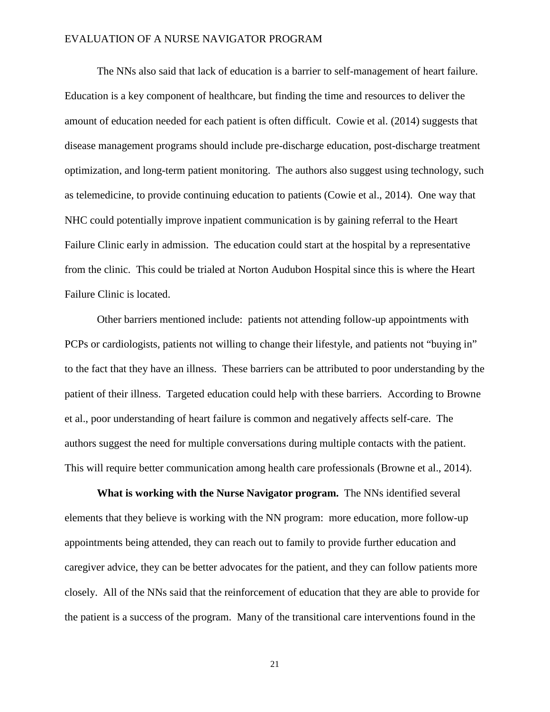The NNs also said that lack of education is a barrier to self-management of heart failure. Education is a key component of healthcare, but finding the time and resources to deliver the amount of education needed for each patient is often difficult. Cowie et al. (2014) suggests that disease management programs should include pre-discharge education, post-discharge treatment optimization, and long-term patient monitoring. The authors also suggest using technology, such as telemedicine, to provide continuing education to patients (Cowie et al., 2014). One way that NHC could potentially improve inpatient communication is by gaining referral to the Heart Failure Clinic early in admission. The education could start at the hospital by a representative from the clinic. This could be trialed at Norton Audubon Hospital since this is where the Heart Failure Clinic is located.

Other barriers mentioned include: patients not attending follow-up appointments with PCPs or cardiologists, patients not willing to change their lifestyle, and patients not "buying in" to the fact that they have an illness. These barriers can be attributed to poor understanding by the patient of their illness. Targeted education could help with these barriers. According to Browne et al., poor understanding of heart failure is common and negatively affects self-care. The authors suggest the need for multiple conversations during multiple contacts with the patient. This will require better communication among health care professionals (Browne et al., 2014).

**What is working with the Nurse Navigator program.** The NNs identified several elements that they believe is working with the NN program: more education, more follow-up appointments being attended, they can reach out to family to provide further education and caregiver advice, they can be better advocates for the patient, and they can follow patients more closely. All of the NNs said that the reinforcement of education that they are able to provide for the patient is a success of the program. Many of the transitional care interventions found in the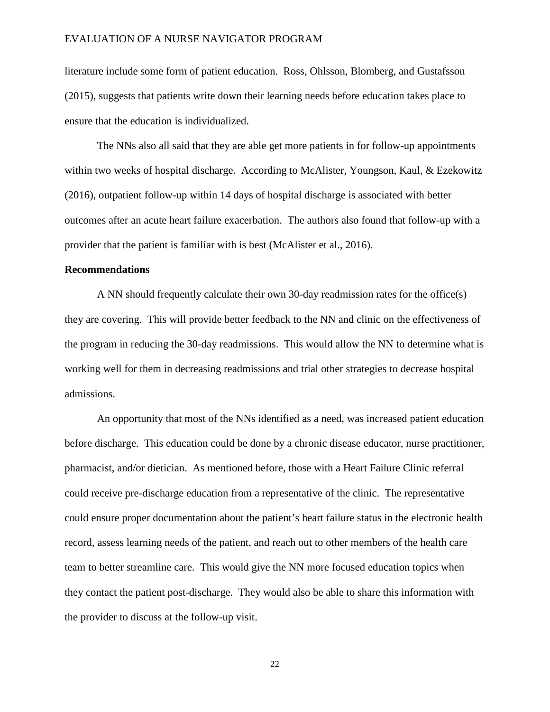literature include some form of patient education. Ross, Ohlsson, Blomberg, and Gustafsson (2015), suggests that patients write down their learning needs before education takes place to ensure that the education is individualized.

The NNs also all said that they are able get more patients in for follow-up appointments within two weeks of hospital discharge. According to McAlister, Youngson, Kaul, & Ezekowitz (2016), outpatient follow-up within 14 days of hospital discharge is associated with better outcomes after an acute heart failure exacerbation. The authors also found that follow-up with a provider that the patient is familiar with is best (McAlister et al., 2016).

#### **Recommendations**

A NN should frequently calculate their own 30-day readmission rates for the office(s) they are covering. This will provide better feedback to the NN and clinic on the effectiveness of the program in reducing the 30-day readmissions. This would allow the NN to determine what is working well for them in decreasing readmissions and trial other strategies to decrease hospital admissions.

An opportunity that most of the NNs identified as a need, was increased patient education before discharge. This education could be done by a chronic disease educator, nurse practitioner, pharmacist, and/or dietician. As mentioned before, those with a Heart Failure Clinic referral could receive pre-discharge education from a representative of the clinic. The representative could ensure proper documentation about the patient's heart failure status in the electronic health record, assess learning needs of the patient, and reach out to other members of the health care team to better streamline care. This would give the NN more focused education topics when they contact the patient post-discharge. They would also be able to share this information with the provider to discuss at the follow-up visit.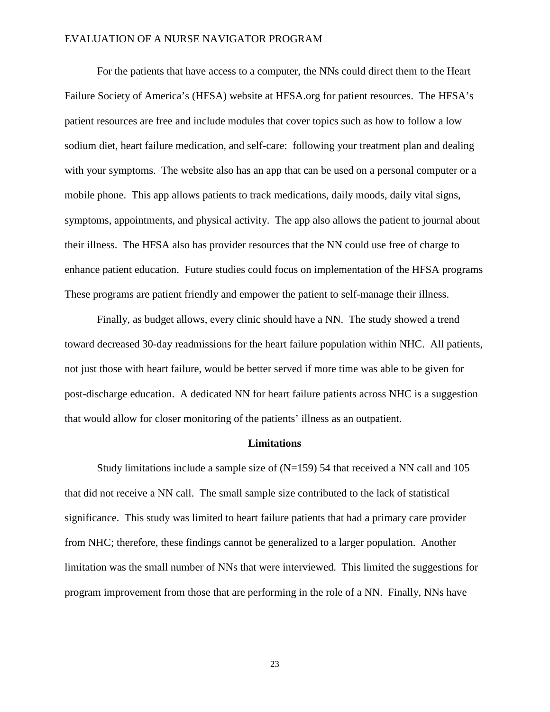For the patients that have access to a computer, the NNs could direct them to the Heart Failure Society of America's (HFSA) website at HFSA.org for patient resources. The HFSA's patient resources are free and include modules that cover topics such as how to follow a low sodium diet, heart failure medication, and self-care: following your treatment plan and dealing with your symptoms. The website also has an app that can be used on a personal computer or a mobile phone. This app allows patients to track medications, daily moods, daily vital signs, symptoms, appointments, and physical activity. The app also allows the patient to journal about their illness. The HFSA also has provider resources that the NN could use free of charge to enhance patient education. Future studies could focus on implementation of the HFSA programs These programs are patient friendly and empower the patient to self-manage their illness.

Finally, as budget allows, every clinic should have a NN. The study showed a trend toward decreased 30-day readmissions for the heart failure population within NHC. All patients, not just those with heart failure, would be better served if more time was able to be given for post-discharge education. A dedicated NN for heart failure patients across NHC is a suggestion that would allow for closer monitoring of the patients' illness as an outpatient.

#### **Limitations**

Study limitations include a sample size of  $(N=159)$  54 that received a NN call and 105 that did not receive a NN call. The small sample size contributed to the lack of statistical significance. This study was limited to heart failure patients that had a primary care provider from NHC; therefore, these findings cannot be generalized to a larger population. Another limitation was the small number of NNs that were interviewed. This limited the suggestions for program improvement from those that are performing in the role of a NN. Finally, NNs have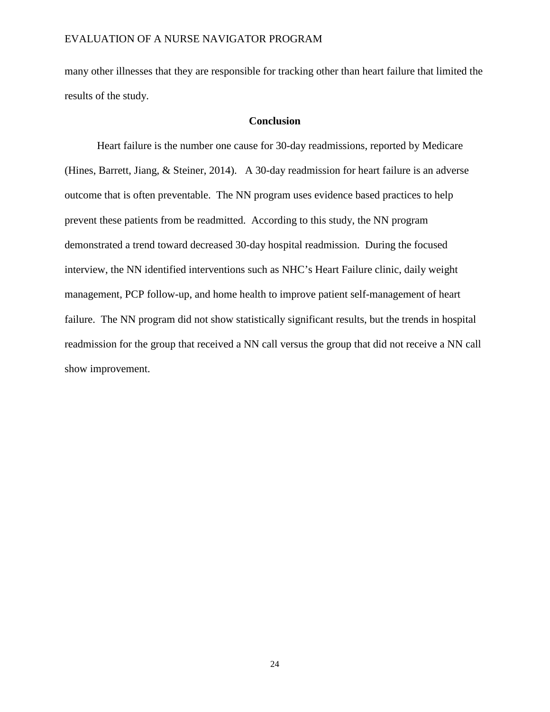many other illnesses that they are responsible for tracking other than heart failure that limited the results of the study.

#### **Conclusion**

Heart failure is the number one cause for 30-day readmissions, reported by Medicare (Hines, Barrett, Jiang, & Steiner, 2014). A 30-day readmission for heart failure is an adverse outcome that is often preventable. The NN program uses evidence based practices to help prevent these patients from be readmitted. According to this study, the NN program demonstrated a trend toward decreased 30-day hospital readmission. During the focused interview, the NN identified interventions such as NHC's Heart Failure clinic, daily weight management, PCP follow-up, and home health to improve patient self-management of heart failure. The NN program did not show statistically significant results, but the trends in hospital readmission for the group that received a NN call versus the group that did not receive a NN call show improvement.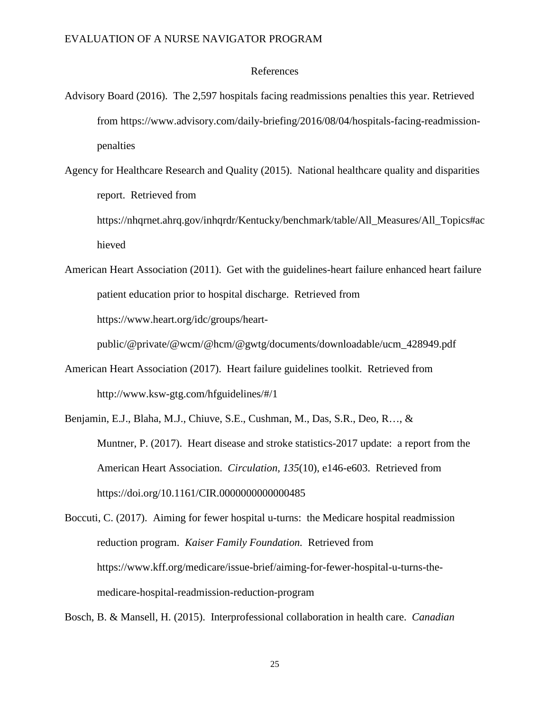#### References

Advisory Board (2016). The 2,597 hospitals facing readmissions penalties this year. Retrieved from https://www.advisory.com/daily-briefing/2016/08/04/hospitals-facing-readmissionpenalties

Agency for Healthcare Research and Quality (2015). National healthcare quality and disparities report. Retrieved from

https://nhqrnet.ahrq.gov/inhqrdr/Kentucky/benchmark/table/All\_Measures/All\_Topics#ac hieved

American Heart Association (2011). Get with the guidelines-heart failure enhanced heart failure patient education prior to hospital discharge. Retrieved from https://www.heart.org/idc/groups/heart-

public/@private/@wcm/@hcm/@gwtg/documents/downloadable/ucm\_428949.pdf

- American Heart Association (2017). Heart failure guidelines toolkit. Retrieved from http://www.ksw-gtg.com/hfguidelines/#/1
- Benjamin, E.J., Blaha, M.J., Chiuve, S.E., Cushman, M., Das, S.R., Deo, R…, & Muntner, P. (2017). Heart disease and stroke statistics-2017 update: a report from the American Heart Association. *Circulation, 135*(10), e146-e603. Retrieved from https://doi.org/10.1161/CIR.0000000000000485

Boccuti, C. (2017). Aiming for fewer hospital u-turns: the Medicare hospital readmission reduction program. *Kaiser Family Foundation.* Retrieved from https://www.kff.org/medicare/issue-brief/aiming-for-fewer-hospital-u-turns-themedicare-hospital-readmission-reduction-program

Bosch, B. & Mansell, H. (2015). Interprofessional collaboration in health care. *Canadian*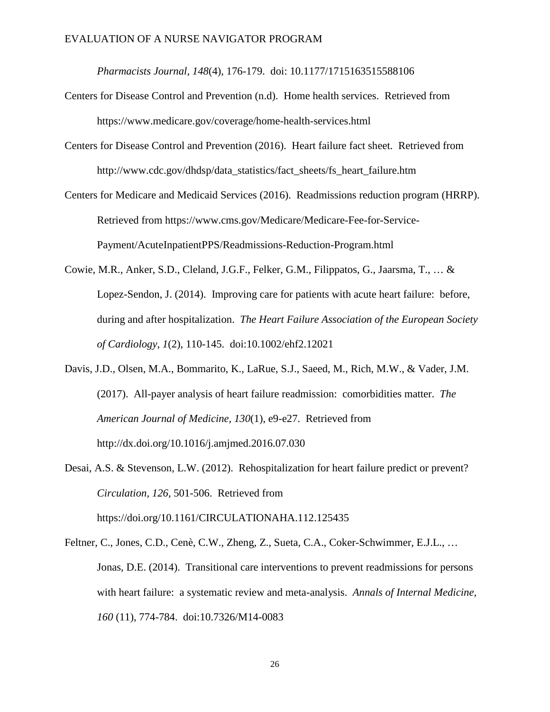*Pharmacists Journal, 148*(4), 176-179. doi: 10.1177/1715163515588106

- Centers for Disease Control and Prevention (n.d). Home health services. Retrieved from https://www.medicare.gov/coverage/home-health-services.html
- Centers for Disease Control and Prevention (2016). Heart failure fact sheet*.* Retrieved from http://www.cdc.gov/dhdsp/data\_statistics/fact\_sheets/fs\_heart\_failure.htm
- Centers for Medicare and Medicaid Services (2016). Readmissions reduction program (HRRP). Retrieved from https://www.cms.gov/Medicare/Medicare-Fee-for-Service-Payment/AcuteInpatientPPS/Readmissions-Reduction-Program.html
- Cowie, M.R., Anker, S.D., Cleland, J.G.F., Felker, G.M., Filippatos, G., Jaarsma, T., … & Lopez-Sendon, J. (2014). Improving care for patients with acute heart failure: before, during and after hospitalization. *The Heart Failure Association of the European Society of Cardiology, 1*(2), 110-145. doi:10.1002/ehf2.12021
- Davis, J.D., Olsen, M.A., Bommarito, K., LaRue, S.J., Saeed, M., Rich, M.W., & Vader, J.M. (2017). All-payer analysis of heart failure readmission: comorbidities matter. *The American Journal of Medicine, 130*(1), e9-e27. Retrieved from http://dx.doi.org/10.1016/j.amjmed.2016.07.030
- Desai, A.S. & Stevenson, L.W. (2012). Rehospitalization for heart failure predict or prevent? *Circulation, 126,* 501-506. Retrieved from https://doi.org/10.1161/CIRCULATIONAHA.112.125435
- Feltner, C., Jones, C.D., Cenè, C.W., Zheng, Z., Sueta, C.A., Coker-Schwimmer, E.J.L., … Jonas, D.E. (2014). Transitional care interventions to prevent readmissions for persons with heart failure: a systematic review and meta-analysis. *Annals of Internal Medicine, 160* (11), 774-784. doi:10.7326/M14-0083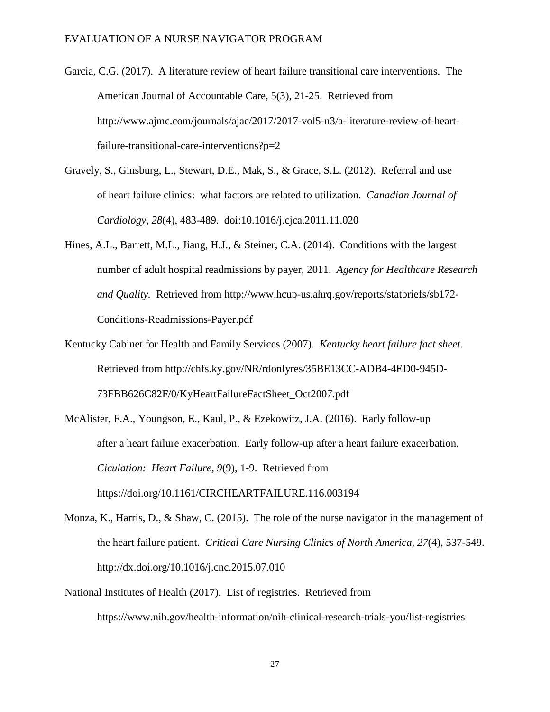- Garcia, C.G. (2017). A literature review of heart failure transitional care interventions. The American Journal of Accountable Care, 5(3), 21-25. Retrieved from http://www.ajmc.com/journals/ajac/2017/2017-vol5-n3/a-literature-review-of-heartfailure-transitional-care-interventions?p=2
- Gravely, S., Ginsburg, L., Stewart, D.E., Mak, S., & Grace, S.L. (2012). Referral and use of heart failure clinics: what factors are related to utilization. *Canadian Journal of Cardiology, 28*(4), 483-489. doi:10.1016/j.cjca.2011.11.020
- Hines, A.L., Barrett, M.L., Jiang, H.J., & Steiner, C.A. (2014). Conditions with the largest number of adult hospital readmissions by payer, 2011. *Agency for Healthcare Research and Quality.* Retrieved from http://www.hcup-us.ahrq.gov/reports/statbriefs/sb172- Conditions-Readmissions-Payer.pdf
- Kentucky Cabinet for Health and Family Services (2007). *Kentucky heart failure fact sheet.* Retrieved from http://chfs.ky.gov/NR/rdonlyres/35BE13CC-ADB4-4ED0-945D-73FBB626C82F/0/KyHeartFailureFactSheet\_Oct2007.pdf
- McAlister, F.A., Youngson, E., Kaul, P., & Ezekowitz, J.A. (2016). Early follow-up after a heart failure exacerbation. Early follow-up after a heart failure exacerbation. *Ciculation: Heart Failure, 9*(9), 1-9. Retrieved from https://doi.org/10.1161/CIRCHEARTFAILURE.116.003194
- Monza, K., Harris, D., & Shaw, C. (2015). The role of the nurse navigator in the management of the heart failure patient. *Critical Care Nursing Clinics of North America, 27*(4), 537-549. http://dx.doi.org/10.1016/j.cnc.2015.07.010
- National Institutes of Health (2017). List of registries. Retrieved from https://www.nih.gov/health-information/nih-clinical-research-trials-you/list-registries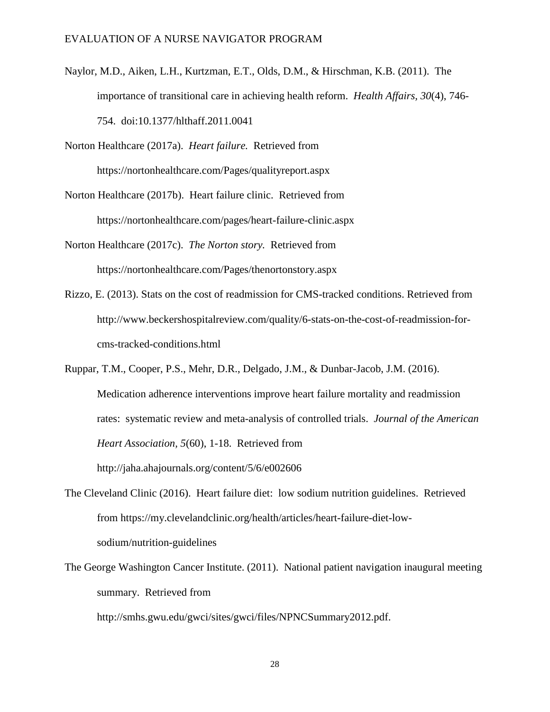Naylor, M.D., Aiken, L.H., Kurtzman, E.T., Olds, D.M., & Hirschman, K.B. (2011). The importance of transitional care in achieving health reform. *Health Affairs, 30*(4), 746- 754. doi:10.1377/hlthaff.2011.0041

Norton Healthcare (2017a). *Heart failure.* Retrieved from https://nortonhealthcare.com/Pages/qualityreport.aspx

Norton Healthcare (2017b). Heart failure clinic. Retrieved from https://nortonhealthcare.com/pages/heart-failure-clinic.aspx

Norton Healthcare (2017c). *The Norton story.* Retrieved from https://nortonhealthcare.com/Pages/thenortonstory.aspx

Rizzo, E. (2013). Stats on the cost of readmission for CMS-tracked conditions. Retrieved from http://www.beckershospitalreview.com/quality/6-stats-on-the-cost-of-readmission-forcms-tracked-conditions.html

Ruppar, T.M., Cooper, P.S., Mehr, D.R., Delgado, J.M., & Dunbar-Jacob, J.M. (2016). Medication adherence interventions improve heart failure mortality and readmission rates: systematic review and meta-analysis of controlled trials. *Journal of the American Heart Association, 5*(60), 1-18. Retrieved from http://jaha.ahajournals.org/content/5/6/e002606

- The Cleveland Clinic (2016). Heart failure diet: low sodium nutrition guidelines. Retrieved from https://my.clevelandclinic.org/health/articles/heart-failure-diet-lowsodium/nutrition-guidelines
- The George Washington Cancer Institute. (2011). National patient navigation inaugural meeting summary. Retrieved from

http://smhs.gwu.edu/gwci/sites/gwci/files/NPNCSummary2012.pdf.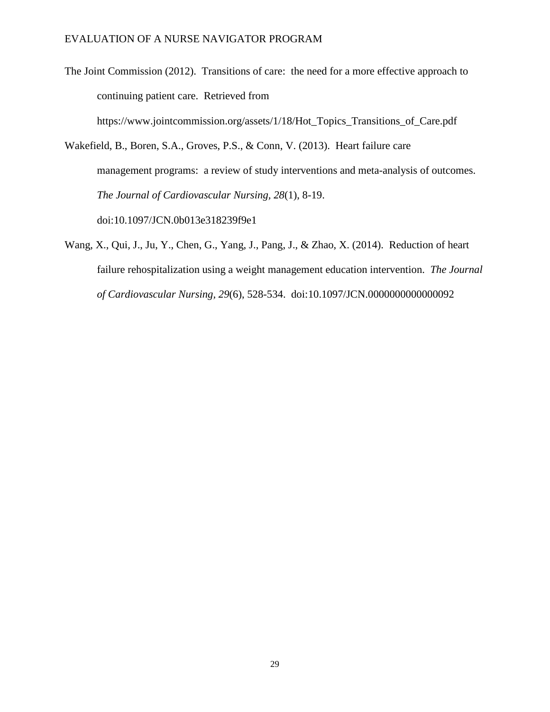- The Joint Commission (2012). Transitions of care: the need for a more effective approach to continuing patient care. Retrieved from https://www.jointcommission.org/assets/1/18/Hot\_Topics\_Transitions\_of\_Care.pdf
- Wakefield, B., Boren, S.A., Groves, P.S., & Conn, V. (2013). Heart failure care management programs: a review of study interventions and meta-analysis of outcomes. *The Journal of Cardiovascular Nursing, 28*(1), 8-19. doi:10.1097/JCN.0b013e318239f9e1
- Wang, X., Qui, J., Ju, Y., Chen, G., Yang, J., Pang, J., & Zhao, X. (2014). Reduction of heart failure rehospitalization using a weight management education intervention. *The Journal of Cardiovascular Nursing, 29*(6), 528-534. doi:10.1097/JCN.0000000000000092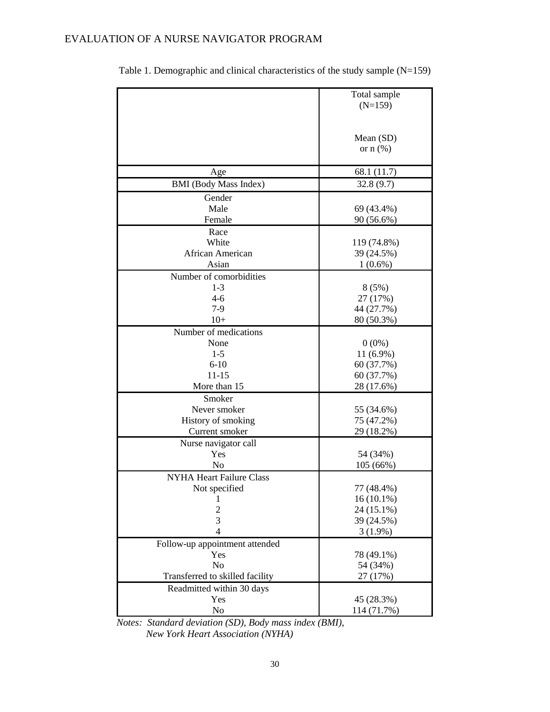|                                 | Total sample  |
|---------------------------------|---------------|
|                                 | $(N=159)$     |
|                                 |               |
|                                 |               |
|                                 |               |
|                                 | Mean (SD)     |
|                                 | or $n$ $(\%)$ |
|                                 |               |
| Age                             | 68.1 (11.7)   |
| <b>BMI</b> (Body Mass Index)    | 32.8(9.7)     |
| Gender                          |               |
| Male                            | 69 (43.4%)    |
| Female                          | 90 (56.6%)    |
|                                 |               |
| Race                            |               |
| White                           | 119 (74.8%)   |
| African American                | 39 (24.5%)    |
| Asian                           | $1(0.6\%)$    |
| Number of comorbidities         |               |
| $1-3$                           | 8(5%)         |
| $4 - 6$                         | 27 (17%)      |
| $7-9$                           | 44 (27.7%)    |
| $10+$                           | 80 (50.3%)    |
|                                 |               |
| Number of medications           |               |
| None                            | $0(0\%)$      |
| $1 - 5$                         | $11(6.9\%)$   |
| $6 - 10$                        | 60 (37.7%)    |
| $11 - 15$                       | 60 (37.7%)    |
| More than 15                    | 28 (17.6%)    |
| Smoker                          |               |
| Never smoker                    | 55 (34.6%)    |
| History of smoking              | 75 (47.2%)    |
| Current smoker                  | 29 (18.2%)    |
|                                 |               |
| Nurse navigator call            |               |
| Yes                             | 54 (34%)      |
| No                              | 105 (66%)     |
| <b>NYHA Heart Failure Class</b> |               |
| Not specified                   | 77 (48.4%)    |
| 1                               | $16(10.1\%)$  |
| $\mathbf{2}$                    | 24 (15.1%)    |
| 3                               | 39 (24.5%)    |
| $\overline{4}$                  | $3(1.9\%)$    |
| Follow-up appointment attended  |               |
| Yes                             |               |
|                                 | 78 (49.1%)    |
| N <sub>o</sub>                  | 54 (34%)      |
| Transferred to skilled facility | 27 (17%)      |
| Readmitted within 30 days       |               |
| Yes                             | 45 (28.3%)    |
| No                              | 114 (71.7%)   |

Table 1. Demographic and clinical characteristics of the study sample (N=159)

*Notes: Standard deviation (SD), Body mass index (BMI), New York Heart Association (NYHA)*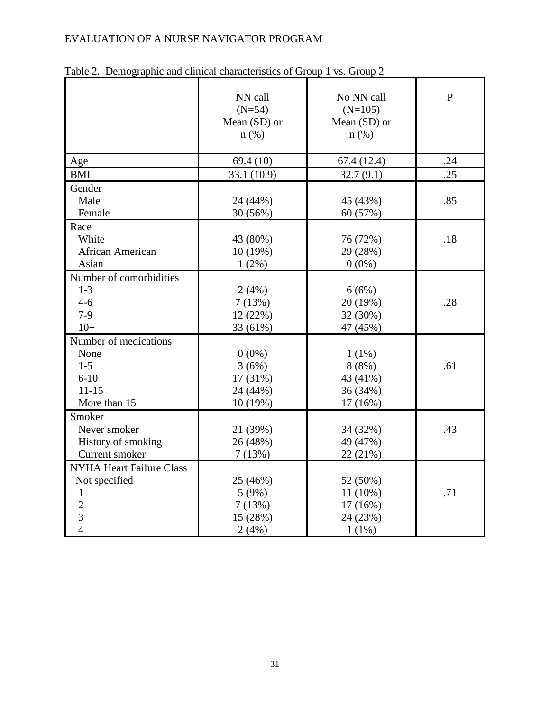|                                 | NN call<br>$(N=54)$<br>Mean (SD) or<br>$n$ (%) | No NN call<br>$(N=105)$<br>Mean (SD) or<br>$n$ (%) | $\overline{P}$ |
|---------------------------------|------------------------------------------------|----------------------------------------------------|----------------|
| Age                             | 69.4(10)                                       | 67.4(12.4)                                         | .24            |
| <b>BMI</b>                      | 33.1 (10.9)                                    | 32.7(9.1)                                          | .25            |
| Gender                          |                                                |                                                    |                |
| Male                            | 24 (44%)                                       | 45 (43%)                                           | .85            |
| Female                          | 30 (56%)                                       | 60 (57%)                                           |                |
| Race                            |                                                |                                                    |                |
| White                           | 43 (80%)                                       | 76 (72%)                                           | .18            |
| African American                | 10(19%)                                        | 29 (28%)                                           |                |
| Asian                           | $1(2\%)$                                       | $0(0\%)$                                           |                |
| Number of comorbidities         |                                                |                                                    |                |
| $1 - 3$                         | 2(4%)                                          | 6(6%)                                              |                |
| $4 - 6$                         | 7(13%)                                         | 20 (19%)                                           | .28            |
| $7-9$                           | 12 (22%)                                       | 32 (30%)                                           |                |
| $10+$                           | 33 (61%)                                       | 47 (45%)                                           |                |
| Number of medications           |                                                |                                                    |                |
| None                            | $0(0\%)$                                       | $1(1\%)$                                           |                |
| $1 - 5$                         | 3(6%)                                          | 8(8%)                                              | .61            |
| $6 - 10$                        | 17 (31%)                                       | 43 (41%)                                           |                |
| $11 - 15$                       | 24 (44%)                                       | 36 (34%)                                           |                |
| More than 15                    | 10 (19%)                                       | 17 (16%)                                           |                |
| Smoker                          |                                                |                                                    |                |
| Never smoker                    | 21 (39%)                                       | 34 (32%)                                           | .43            |
| History of smoking              | 26 (48%)                                       | 49 (47%)                                           |                |
| Current smoker                  | 7(13%)                                         | 22 (21%)                                           |                |
| <b>NYHA Heart Failure Class</b> |                                                |                                                    |                |
| Not specified                   | 25 (46%)                                       | 52 (50%)                                           |                |
| 1                               | 5(9%)                                          | 11 (10%)                                           | .71            |
| $\overline{2}$                  | 7(13%)                                         | 17(16%)                                            |                |
| 3                               | 15 (28%)                                       | 24 (23%)                                           |                |
| $\overline{4}$                  | 2(4%)                                          | $1(1\%)$                                           |                |

Table 2. Demographic and clinical characteristics of Group 1 vs. Group 2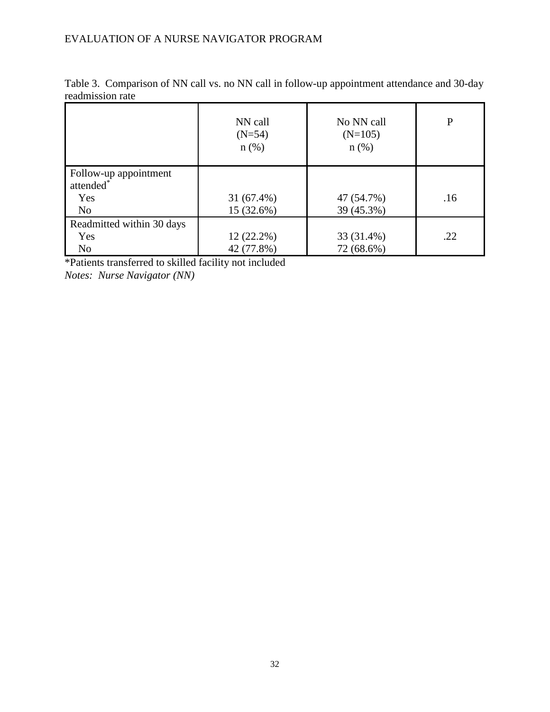|                           | NN call<br>$(N=54)$<br>$n$ (%) | No NN call<br>$(N=105)$<br>$n$ (%) | $\mathbf P$ |
|---------------------------|--------------------------------|------------------------------------|-------------|
| Follow-up appointment     |                                |                                    |             |
| attended <sup>*</sup>     |                                |                                    |             |
| Yes                       | $31(67.4\%)$                   | 47 (54.7%)                         | .16         |
| N <sub>0</sub>            | 15 (32.6%)                     | 39 (45.3%)                         |             |
| Readmitted within 30 days |                                |                                    |             |
| Yes                       | $12(22.2\%)$                   | 33 (31.4%)                         | .22         |
| N <sub>o</sub>            | 42 (77.8%)                     | 72 (68.6%)                         |             |

Table 3. Comparison of NN call vs. no NN call in follow-up appointment attendance and 30-day readmission rate

\*Patients transferred to skilled facility not included *Notes: Nurse Navigator (NN)*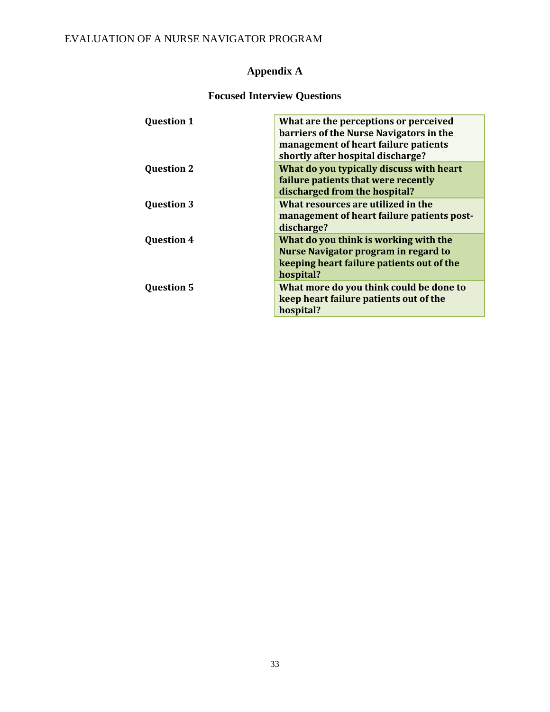# **Appendix A**

# **Focused Interview Questions**

| <b>Question 1</b> | What are the perceptions or perceived       |
|-------------------|---------------------------------------------|
|                   | barriers of the Nurse Navigators in the     |
|                   | management of heart failure patients        |
|                   | shortly after hospital discharge?           |
| <b>Question 2</b> | What do you typically discuss with heart    |
|                   | failure patients that were recently         |
|                   | discharged from the hospital?               |
| <b>Question 3</b> | What resources are utilized in the          |
|                   | management of heart failure patients post-  |
|                   | discharge?                                  |
| <b>Question 4</b> | What do you think is working with the       |
|                   | <b>Nurse Navigator program in regard to</b> |
|                   | keeping heart failure patients out of the   |
|                   | hospital?                                   |
| <b>Question 5</b> | What more do you think could be done to     |
|                   | keep heart failure patients out of the      |
|                   | hospital?                                   |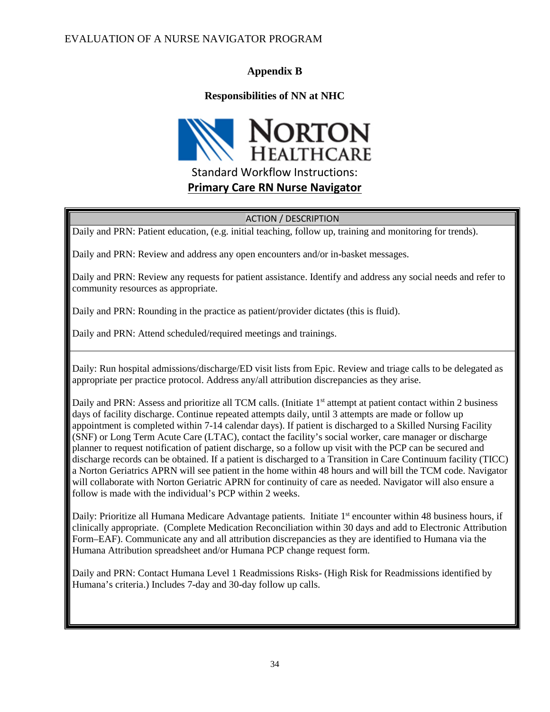### **Appendix B**

### **Responsibilities of NN at NHC**



#### ACTION / DESCRIPTION

Daily and PRN: Patient education, (e.g. initial teaching, follow up, training and monitoring for trends).

Daily and PRN: Review and address any open encounters and/or in-basket messages.

Daily and PRN: Review any requests for patient assistance. Identify and address any social needs and refer to community resources as appropriate.

Daily and PRN: Rounding in the practice as patient/provider dictates (this is fluid).

Daily and PRN: Attend scheduled/required meetings and trainings.

Daily: Run hospital admissions/discharge/ED visit lists from Epic. Review and triage calls to be delegated as appropriate per practice protocol. Address any/all attribution discrepancies as they arise.

Daily and PRN: Assess and prioritize all TCM calls. (Initiate 1<sup>st</sup> attempt at patient contact within 2 business days of facility discharge. Continue repeated attempts daily, until 3 attempts are made or follow up appointment is completed within 7-14 calendar days). If patient is discharged to a Skilled Nursing Facility (SNF) or Long Term Acute Care (LTAC), contact the facility's social worker, care manager or discharge planner to request notification of patient discharge, so a follow up visit with the PCP can be secured and discharge records can be obtained. If a patient is discharged to a Transition in Care Continuum facility (TICC) a Norton Geriatrics APRN will see patient in the home within 48 hours and will bill the TCM code. Navigator will collaborate with Norton Geriatric APRN for continuity of care as needed. Navigator will also ensure a follow is made with the individual's PCP within 2 weeks.

Daily: Prioritize all Humana Medicare Advantage patients. Initiate 1<sup>st</sup> encounter within 48 business hours, if clinically appropriate. (Complete Medication Reconciliation within 30 days and add to Electronic Attribution Form–EAF). Communicate any and all attribution discrepancies as they are identified to Humana via the Humana Attribution spreadsheet and/or Humana PCP change request form.

Daily and PRN: Contact Humana Level 1 Readmissions Risks- (High Risk for Readmissions identified by Humana's criteria.) Includes 7-day and 30-day follow up calls.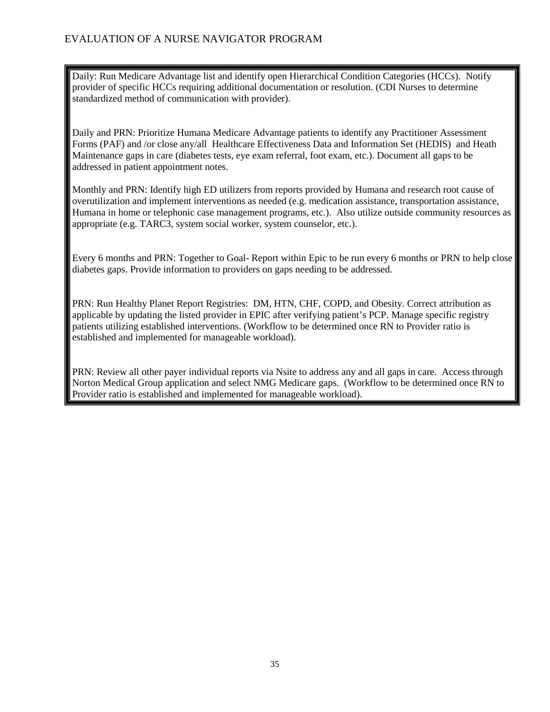Daily: Run Medicare Advantage list and identify open Hierarchical Condition Categories (HCCs). Notify provider of specific HCCs requiring additional documentation or resolution. (CDI Nurses to determine standardized method of communication with provider).

Daily and PRN: Prioritize Humana Medicare Advantage patients to identify any Practitioner Assessment Forms (PAF) and /or close any/all Healthcare Effectiveness Data and Information Set (HEDIS) and Heath Maintenance gaps in care (diabetes tests, eye exam referral, foot exam, etc.). Document all gaps to be addressed in patient appointment notes.

Monthly and PRN: Identify high ED utilizers from reports provided by Humana and research root cause of overutilization and implement interventions as needed (e.g. medication assistance, transportation assistance, Humana in home or telephonic case management programs, etc.). Also utilize outside community resources as appropriate (e.g. TARC3, system social worker, system counselor, etc.).

Every 6 months and PRN: Together to Goal- Report within Epic to be run every 6 months or PRN to help close diabetes gaps. Provide information to providers on gaps needing to be addressed.

PRN: Run Healthy Planet Report Registries: DM, HTN, CHF, COPD, and Obesity. Correct attribution as applicable by updating the listed provider in EPIC after verifying patient's PCP. Manage specific registry patients utilizing established interventions. (Workflow to be determined once RN to Provider ratio is established and implemented for manageable workload).

PRN: Review all other payer individual reports via Nsite to address any and all gaps in care. Access through Norton Medical Group application and select NMG Medicare gaps. (Workflow to be determined once RN to Provider ratio is established and implemented for manageable workload).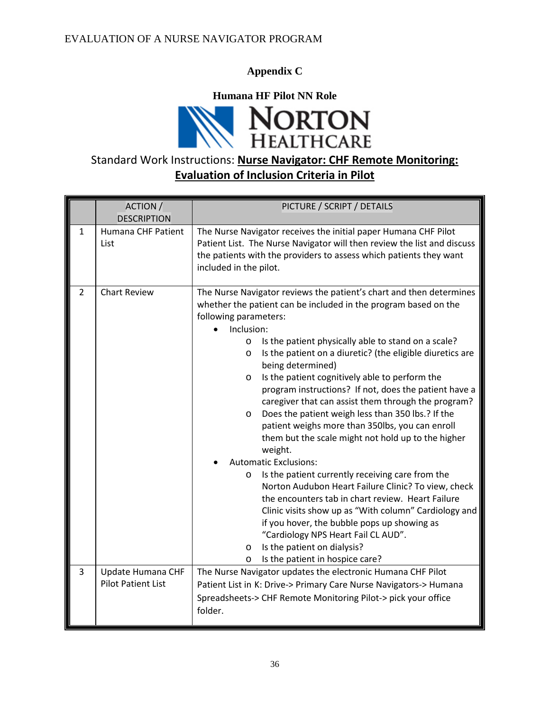**Appendix C**

**Humana HF Pilot NN Role**



# Standard Work Instructions: **Nurse Navigator: CHF Remote Monitoring: Evaluation of Inclusion Criteria in Pilot**

|   | ACTION /<br><b>DESCRIPTION</b>                 | PICTURE / SCRIPT / DETAILS                                                                                                                                                                                                                                                                                                                                                                                                                                                                                                                                                                                                                                                                                                                                                                                                                                                                                                                                                                                                                                                                                                                                |  |
|---|------------------------------------------------|-----------------------------------------------------------------------------------------------------------------------------------------------------------------------------------------------------------------------------------------------------------------------------------------------------------------------------------------------------------------------------------------------------------------------------------------------------------------------------------------------------------------------------------------------------------------------------------------------------------------------------------------------------------------------------------------------------------------------------------------------------------------------------------------------------------------------------------------------------------------------------------------------------------------------------------------------------------------------------------------------------------------------------------------------------------------------------------------------------------------------------------------------------------|--|
| 1 | Humana CHF Patient<br>List                     | The Nurse Navigator receives the initial paper Humana CHF Pilot<br>Patient List. The Nurse Navigator will then review the list and discuss<br>the patients with the providers to assess which patients they want<br>included in the pilot.                                                                                                                                                                                                                                                                                                                                                                                                                                                                                                                                                                                                                                                                                                                                                                                                                                                                                                                |  |
| 2 | <b>Chart Review</b>                            | The Nurse Navigator reviews the patient's chart and then determines<br>whether the patient can be included in the program based on the<br>following parameters:<br>Inclusion:<br>Is the patient physically able to stand on a scale?<br>$\circ$<br>Is the patient on a diuretic? (the eligible diuretics are<br>$\circ$<br>being determined)<br>Is the patient cognitively able to perform the<br>$\circ$<br>program instructions? If not, does the patient have a<br>caregiver that can assist them through the program?<br>Does the patient weigh less than 350 lbs.? If the<br>$\circ$<br>patient weighs more than 350lbs, you can enroll<br>them but the scale might not hold up to the higher<br>weight.<br><b>Automatic Exclusions:</b><br>Is the patient currently receiving care from the<br>$\circ$<br>Norton Audubon Heart Failure Clinic? To view, check<br>the encounters tab in chart review. Heart Failure<br>Clinic visits show up as "With column" Cardiology and<br>if you hover, the bubble pops up showing as<br>"Cardiology NPS Heart Fail CL AUD".<br>Is the patient on dialysis?<br>$\circ$<br>Is the patient in hospice care?<br>O |  |
| 3 | Update Humana CHF<br><b>Pilot Patient List</b> | The Nurse Navigator updates the electronic Humana CHF Pilot<br>Patient List in K: Drive-> Primary Care Nurse Navigators-> Humana<br>Spreadsheets-> CHF Remote Monitoring Pilot-> pick your office<br>folder.                                                                                                                                                                                                                                                                                                                                                                                                                                                                                                                                                                                                                                                                                                                                                                                                                                                                                                                                              |  |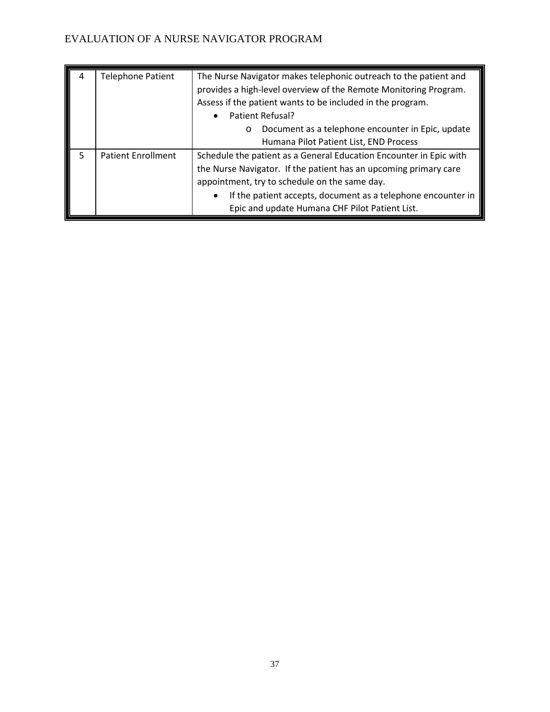| 4 | <b>Telephone Patient</b>  | The Nurse Navigator makes telephonic outreach to the patient and<br>provides a high-level overview of the Remote Monitoring Program.<br>Assess if the patient wants to be included in the program.<br>Patient Refusal?<br>$\bullet$<br>Document as a telephone encounter in Epic, update<br>$\circ$<br>Humana Pilot Patient List, END Process |
|---|---------------------------|-----------------------------------------------------------------------------------------------------------------------------------------------------------------------------------------------------------------------------------------------------------------------------------------------------------------------------------------------|
|   | <b>Patient Enrollment</b> | Schedule the patient as a General Education Encounter in Epic with<br>the Nurse Navigator. If the patient has an upcoming primary care<br>appointment, try to schedule on the same day.<br>If the patient accepts, document as a telephone encounter in<br>Epic and update Humana CHF Pilot Patient List.                                     |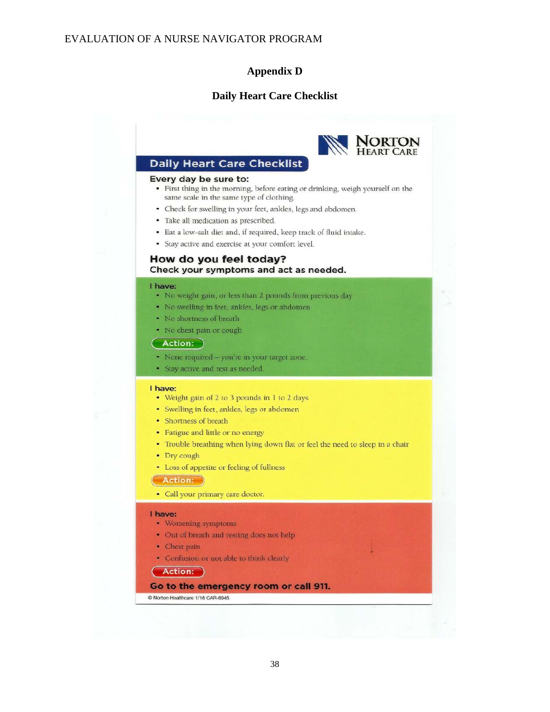#### **Appendix D**

#### **Daily Heart Care Checklist**

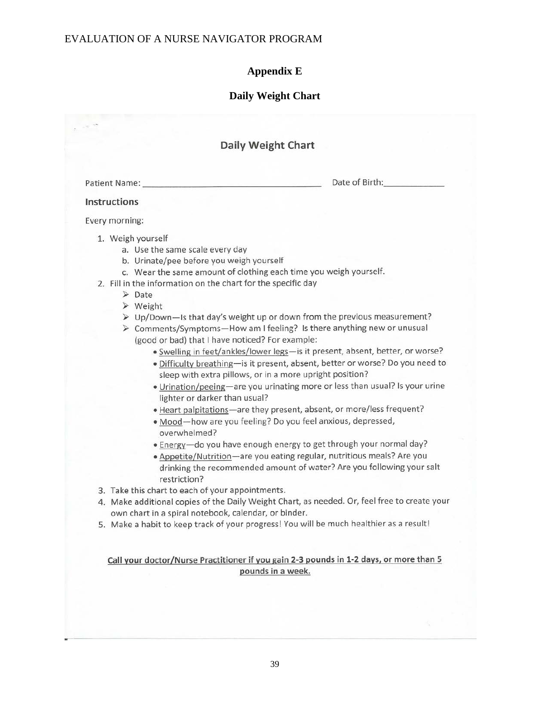# **Appendix E**

# **Daily Weight Chart**

| Patient Name:<br>Instructions<br>1. Weigh yourself<br>a. Use the same scale every day<br>b. Urinate/pee before you weigh yourself<br>c. Wear the same amount of clothing each time you weigh yourself.<br>2. Fill in the information on the chart for the specific day<br>$\triangleright$ Date<br>$\triangleright$ Weight<br>> Up/Down-Is that day's weight up or down from the previous measurement?<br>> Comments/Symptoms-How am I feeling? Is there anything new or unusual<br>(good or bad) that I have noticed? For example:<br>· Swelling in feet/ankles/lower legs-is it present, absent, better, or worse?<br>· Difficulty breathing-is it present, absent, better or worse? Do you need to<br>sleep with extra pillows, or in a more upright position?<br>. Urination/peeing-are you urinating more or less than usual? Is your urine<br>lighter or darker than usual?<br>• Heart palpitations—are they present, absent, or more/less frequent? | Date of Birth: |
|------------------------------------------------------------------------------------------------------------------------------------------------------------------------------------------------------------------------------------------------------------------------------------------------------------------------------------------------------------------------------------------------------------------------------------------------------------------------------------------------------------------------------------------------------------------------------------------------------------------------------------------------------------------------------------------------------------------------------------------------------------------------------------------------------------------------------------------------------------------------------------------------------------------------------------------------------------|----------------|
|                                                                                                                                                                                                                                                                                                                                                                                                                                                                                                                                                                                                                                                                                                                                                                                                                                                                                                                                                            |                |
| Every morning:                                                                                                                                                                                                                                                                                                                                                                                                                                                                                                                                                                                                                                                                                                                                                                                                                                                                                                                                             |                |
|                                                                                                                                                                                                                                                                                                                                                                                                                                                                                                                                                                                                                                                                                                                                                                                                                                                                                                                                                            |                |
| · Mood-how are you feeling? Do you feel anxious, depressed,<br>overwhelmed?<br>• Energy-do you have enough energy to get through your normal day?<br>· Appetite/Nutrition-are you eating regular, nutritious meals? Are you<br>drinking the recommended amount of water? Are you following your salt<br>restriction?<br>3. Take this chart to each of your appointments.<br>4. Make additional copies of the Daily Weight Chart, as needed. Or, feel free to create your<br>own chart in a spiral notebook, calendar, or binder.<br>5. Make a habit to keep track of your progress! You will be much healthier as a result!                                                                                                                                                                                                                                                                                                                                |                |